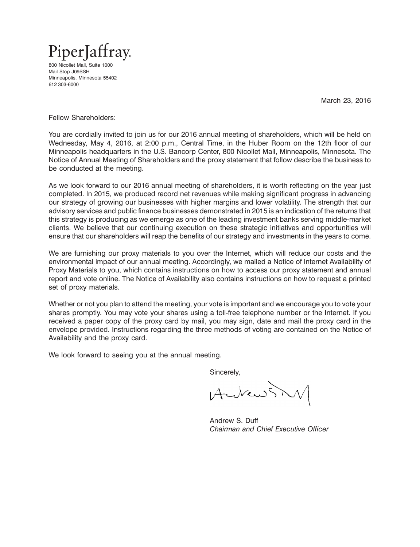

800 Nicollet Mall, Suite 1000 Mail Stop J09SSH Minneapolis, Minnesota 55402 612 303-6000

March 23, 2016

Fellow Shareholders:

You are cordially invited to join us for our 2016 annual meeting of shareholders, which will be held on Wednesday, May 4, 2016, at 2:00 p.m., Central Time, in the Huber Room on the 12th floor of our Minneapolis headquarters in the U.S. Bancorp Center, 800 Nicollet Mall, Minneapolis, Minnesota. The Notice of Annual Meeting of Shareholders and the proxy statement that follow describe the business to be conducted at the meeting.

As we look forward to our 2016 annual meeting of shareholders, it is worth reflecting on the year just completed. In 2015, we produced record net revenues while making significant progress in advancing our strategy of growing our businesses with higher margins and lower volatility. The strength that our advisory services and public finance businesses demonstrated in 2015 is an indication of the returns that this strategy is producing as we emerge as one of the leading investment banks serving middle-market clients. We believe that our continuing execution on these strategic initiatives and opportunities will ensure that our shareholders will reap the benefits of our strategy and investments in the years to come.

We are furnishing our proxy materials to you over the Internet, which will reduce our costs and the environmental impact of our annual meeting. Accordingly, we mailed a Notice of Internet Availability of Proxy Materials to you, which contains instructions on how to access our proxy statement and annual report and vote online. The Notice of Availability also contains instructions on how to request a printed set of proxy materials.

Whether or not you plan to attend the meeting, your vote is important and we encourage you to vote your shares promptly. You may vote your shares using a toll-free telephone number or the Internet. If you received a paper copy of the proxy card by mail, you may sign, date and mail the proxy card in the envelope provided. Instructions regarding the three methods of voting are contained on the Notice of Availability and the proxy card.

We look forward to seeing you at the annual meeting.

Sincerely,

Aubend 15MAR2013042758075807

Andrew S. Duff *Chairman and Chief Executive Officer*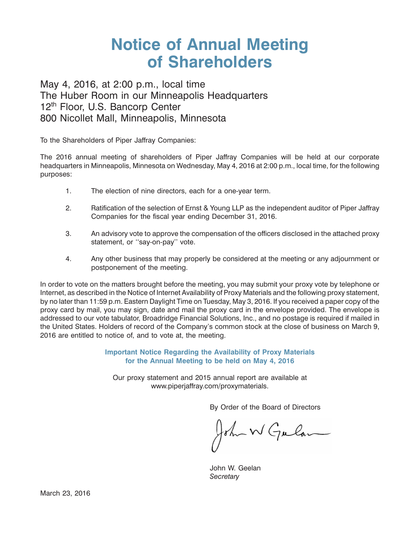# **Notice of Annual Meeting of Shareholders**

May 4, 2016, at 2:00 p.m., local time The Huber Room in our Minneapolis Headquarters 12<sup>th</sup> Floor, U.S. Bancorp Center 800 Nicollet Mall, Minneapolis, Minnesota

To the Shareholders of Piper Jaffray Companies:

The 2016 annual meeting of shareholders of Piper Jaffray Companies will be held at our corporate headquarters in Minneapolis, Minnesota on Wednesday, May 4, 2016 at 2:00 p.m., local time, for the following purposes:

- 1. The election of nine directors, each for a one-year term.
- 2. Ratification of the selection of Ernst & Young LLP as the independent auditor of Piper Jaffray Companies for the fiscal year ending December 31, 2016.
- 3. An advisory vote to approve the compensation of the officers disclosed in the attached proxy statement, or "say-on-pay" vote.
- 4. Any other business that may properly be considered at the meeting or any adjournment or postponement of the meeting.

In order to vote on the matters brought before the meeting, you may submit your proxy vote by telephone or Internet, as described in the Notice of Internet Availability of Proxy Materials and the following proxy statement, by no later than 11:59 p.m. Eastern Daylight Time on Tuesday, May 3, 2016. If you received a paper copy of the proxy card by mail, you may sign, date and mail the proxy card in the envelope provided. The envelope is addressed to our vote tabulator, Broadridge Financial Solutions, Inc., and no postage is required if mailed in the United States. Holders of record of the Company's common stock at the close of business on March 9, 2016 are entitled to notice of, and to vote at, the meeting.

> **Important Notice Regarding the Availability of Proxy Materials for the Annual Meeting to be held on May 4, 2016**

Our proxy statement and 2015 annual report are available at www.piperjaffray.com/proxymaterials.

By Order of the Board of Directors

John W Gulan

John W. Geelan *Secretary*

March 23, 2016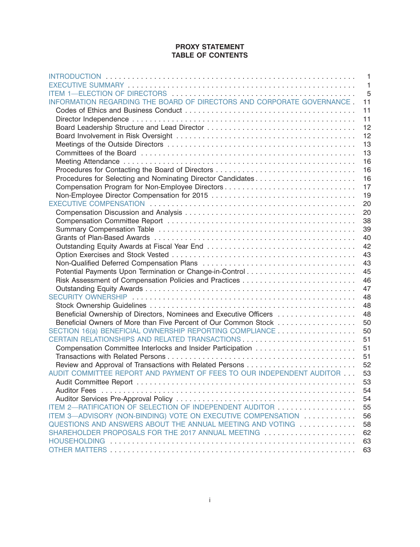#### **PROXY STATEMENT TABLE OF CONTENTS**

|                                                                        | $\mathbf{1}$   |
|------------------------------------------------------------------------|----------------|
|                                                                        | $\overline{1}$ |
|                                                                        | 5              |
| INFORMATION REGARDING THE BOARD OF DIRECTORS AND CORPORATE GOVERNANCE. | 11             |
|                                                                        | 11             |
|                                                                        | 11             |
|                                                                        | 12             |
|                                                                        | 12             |
|                                                                        | 13             |
|                                                                        | 13             |
|                                                                        | 16             |
| Procedures for Contacting the Board of Directors                       | 16             |
|                                                                        | 16             |
|                                                                        | 17             |
|                                                                        | 19             |
|                                                                        | 20             |
|                                                                        | 20             |
|                                                                        | 38             |
|                                                                        | 39             |
|                                                                        | 40             |
|                                                                        | 42             |
|                                                                        | 43             |
|                                                                        | 43             |
|                                                                        | 45             |
|                                                                        | 46             |
|                                                                        | 47             |
|                                                                        | 48             |
|                                                                        | 48             |
| Beneficial Ownership of Directors, Nominees and Executive Officers     | 48             |
| Beneficial Owners of More than Five Percent of Our Common Stock        | 50             |
| SECTION 16(a) BENEFICIAL OWNERSHIP REPORTING COMPLIANCE                | 50             |
| CERTAIN RELATIONSHIPS AND RELATED TRANSACTIONS                         | 51             |
| Compensation Committee Interlocks and Insider Participation            | 51             |
|                                                                        | 51             |
| Review and Approval of Transactions with Related Persons               | 52             |
| AUDIT COMMITTEE REPORT AND PAYMENT OF FEES TO OUR INDEPENDENT AUDITOR  | 53             |
|                                                                        | 53             |
|                                                                        | 54             |
|                                                                        | 54             |
|                                                                        | 55             |
| ITEM 3-ADVISORY (NON-BINDING) VOTE ON EXECUTIVE COMPENSATION           | 56             |
| QUESTIONS AND ANSWERS ABOUT THE ANNUAL MEETING AND VOTING              | 58             |
| SHAREHOLDER PROPOSALS FOR THE 2017 ANNUAL MEETING                      | 62             |
| <b>HOUSEHOLDING</b>                                                    | 63             |
|                                                                        | 63             |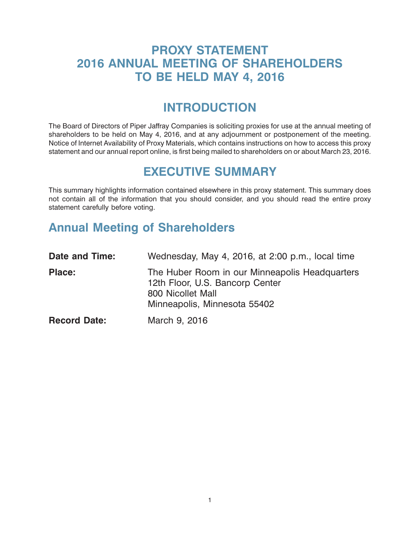### <span id="page-3-0"></span>**PROXY STATEMENT 2016 ANNUAL MEETING OF SHAREHOLDERS TO BE HELD MAY 4, 2016**

### **INTRODUCTION**

The Board of Directors of Piper Jaffray Companies is soliciting proxies for use at the annual meeting of shareholders to be held on May 4, 2016, and at any adjournment or postponement of the meeting. Notice of Internet Availability of Proxy Materials, which contains instructions on how to access this proxy statement and our annual report online, is first being mailed to shareholders on or about March 23, 2016.

### **EXECUTIVE SUMMARY**

This summary highlights information contained elsewhere in this proxy statement. This summary does not contain all of the information that you should consider, and you should read the entire proxy statement carefully before voting.

# **Annual Meeting of Shareholders**

| Date and Time:      | Wednesday, May 4, 2016, at 2:00 p.m., local time                                                                                       |
|---------------------|----------------------------------------------------------------------------------------------------------------------------------------|
| <b>Place:</b>       | The Huber Room in our Minneapolis Headquarters<br>12th Floor, U.S. Bancorp Center<br>800 Nicollet Mall<br>Minneapolis, Minnesota 55402 |
| <b>Record Date:</b> | March 9, 2016                                                                                                                          |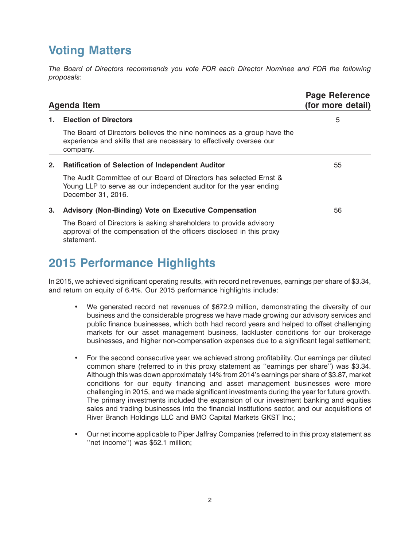# **Voting Matters**

*The Board of Directors recommends you vote FOR each Director Nominee and FOR the following proposals*:

|    | Agenda Item                                                                                                                                                   | <b>Page Reference</b><br>(for more detail) |
|----|---------------------------------------------------------------------------------------------------------------------------------------------------------------|--------------------------------------------|
| 1. | <b>Election of Directors</b>                                                                                                                                  | 5                                          |
|    | The Board of Directors believes the nine nominees as a group have the<br>experience and skills that are necessary to effectively oversee our<br>company.      |                                            |
| 2. | <b>Ratification of Selection of Independent Auditor</b>                                                                                                       | 55                                         |
|    | The Audit Committee of our Board of Directors has selected Ernst &<br>Young LLP to serve as our independent auditor for the year ending<br>December 31, 2016. |                                            |
| 3. | <b>Advisory (Non-Binding) Vote on Executive Compensation</b>                                                                                                  | 56                                         |
|    | The Board of Directors is asking shareholders to provide advisory<br>approval of the compensation of the officers disclosed in this proxy<br>statement.       |                                            |

# **2015 Performance Highlights**

In 2015, we achieved significant operating results, with record net revenues, earnings per share of \$3.34, and return on equity of 6.4%. Our 2015 performance highlights include:

- We generated record net revenues of \$672.9 million, demonstrating the diversity of our business and the considerable progress we have made growing our advisory services and public finance businesses, which both had record years and helped to offset challenging markets for our asset management business, lackluster conditions for our brokerage businesses, and higher non-compensation expenses due to a significant legal settlement;
- For the second consecutive year, we achieved strong profitability. Our earnings per diluted common share (referred to in this proxy statement as ''earnings per share'') was \$3.34. Although this was down approximately 14% from 2014's earnings per share of \$3.87, market conditions for our equity financing and asset management businesses were more challenging in 2015, and we made significant investments during the year for future growth. The primary investments included the expansion of our investment banking and equities sales and trading businesses into the financial institutions sector, and our acquisitions of River Branch Holdings LLC and BMO Capital Markets GKST Inc.;
- Our net income applicable to Piper Jaffray Companies (referred to in this proxy statement as ''net income'') was \$52.1 million;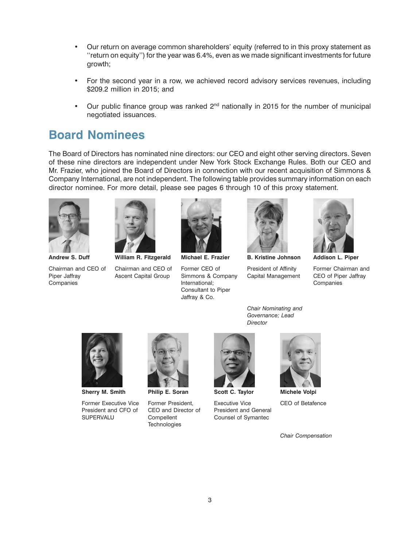- Our return on average common shareholders' equity (referred to in this proxy statement as ''return on equity'') for the year was 6.4%, even as we made significant investments for future growth;
- For the second year in a row, we achieved record advisory services revenues, including \$209.2 million in 2015; and
- Our public finance group was ranked  $2^{nd}$  nationally in 2015 for the number of municipal negotiated issuances.

### **Board Nominees**

The Board of Directors has nominated nine directors: our CEO and eight other serving directors. Seven of these nine directors are independent under New York Stock Exchange Rules. Both our CEO and Mr. Frazier, who joined the Board of Directors in connection with our recent acquisition of Simmons & Company International, are not independent. The following table provides summary information on each director nominee. For more detail, please see pages 6 through 10 of this proxy statement.



Chairman and CEO of Chairman and CEO of Former CEO of President of Affinity Former Chairman and CEO of Piper Jaffray Piper Jaffray **Ascent Capital Group** Simmons & Company Capital Management CEO of Piper Jaffray

27MAR201513393124 26MAR201513555168 17MAR201602185662 26MAR201513542510 26MAR201513545236 **Andrew S. Duff William R. Fitzgerald Michael E. Frazier B. Kristine Johnson Addison L. Piper**



Companies **Companies** International; Companies **International;** Companies Consultant to Piper Jaffray & Co.



*Chair Nominating and Governance; Lead*

*Director*





**Sherry M. Smith Philip E. Soran Scott C. Taylor Michele Volpi**

Former Executive Vice Former President, Executive Vice CEO of Betafence<br>President and CFO of CEO and Director of President and General President and CFO of SUPERVALU Compellent Counsel of Symantec



**Technologies** 





*Chair Compensation*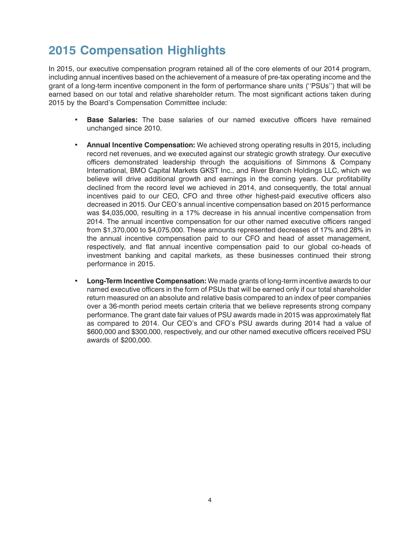# **2015 Compensation Highlights**

In 2015, our executive compensation program retained all of the core elements of our 2014 program, including annual incentives based on the achievement of a measure of pre-tax operating income and the grant of a long-term incentive component in the form of performance share units (''PSUs'') that will be earned based on our total and relative shareholder return. The most significant actions taken during 2015 by the Board's Compensation Committee include:

- **Base Salaries:** The base salaries of our named executive officers have remained unchanged since 2010.
- **Annual Incentive Compensation:** We achieved strong operating results in 2015, including record net revenues, and we executed against our strategic growth strategy. Our executive officers demonstrated leadership through the acquisitions of Simmons & Company International, BMO Capital Markets GKST Inc., and River Branch Holdings LLC, which we believe will drive additional growth and earnings in the coming years. Our profitability declined from the record level we achieved in 2014, and consequently, the total annual incentives paid to our CEO, CFO and three other highest-paid executive officers also decreased in 2015. Our CEO's annual incentive compensation based on 2015 performance was \$4,035,000, resulting in a 17% decrease in his annual incentive compensation from 2014. The annual incentive compensation for our other named executive officers ranged from \$1,370,000 to \$4,075,000. These amounts represented decreases of 17% and 28% in the annual incentive compensation paid to our CFO and head of asset management, respectively, and flat annual incentive compensation paid to our global co-heads of investment banking and capital markets, as these businesses continued their strong performance in 2015.
- **Long-Term Incentive Compensation:** We made grants of long-term incentive awards to our named executive officers in the form of PSUs that will be earned only if our total shareholder return measured on an absolute and relative basis compared to an index of peer companies over a 36-month period meets certain criteria that we believe represents strong company performance. The grant date fair values of PSU awards made in 2015 was approximately flat as compared to 2014. Our CEO's and CFO's PSU awards during 2014 had a value of \$600,000 and \$300,000, respectively, and our other named executive officers received PSU awards of \$200,000.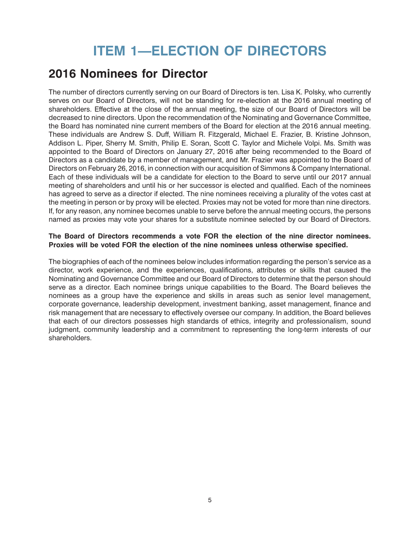# **ITEM 1—ELECTION OF DIRECTORS**

### <span id="page-7-0"></span>**2016 Nominees for Director**

The number of directors currently serving on our Board of Directors is ten. Lisa K. Polsky, who currently serves on our Board of Directors, will not be standing for re-election at the 2016 annual meeting of shareholders. Effective at the close of the annual meeting, the size of our Board of Directors will be decreased to nine directors. Upon the recommendation of the Nominating and Governance Committee, the Board has nominated nine current members of the Board for election at the 2016 annual meeting. These individuals are Andrew S. Duff, William R. Fitzgerald, Michael E. Frazier, B. Kristine Johnson, Addison L. Piper, Sherry M. Smith, Philip E. Soran, Scott C. Taylor and Michele Volpi. Ms. Smith was appointed to the Board of Directors on January 27, 2016 after being recommended to the Board of Directors as a candidate by a member of management, and Mr. Frazier was appointed to the Board of Directors on February 26, 2016, in connection with our acquisition of Simmons & Company International. Each of these individuals will be a candidate for election to the Board to serve until our 2017 annual meeting of shareholders and until his or her successor is elected and qualified. Each of the nominees has agreed to serve as a director if elected. The nine nominees receiving a plurality of the votes cast at the meeting in person or by proxy will be elected. Proxies may not be voted for more than nine directors. If, for any reason, any nominee becomes unable to serve before the annual meeting occurs, the persons named as proxies may vote your shares for a substitute nominee selected by our Board of Directors.

#### **The Board of Directors recommends a vote FOR the election of the nine director nominees. Proxies will be voted FOR the election of the nine nominees unless otherwise specified.**

The biographies of each of the nominees below includes information regarding the person's service as a director, work experience, and the experiences, qualifications, attributes or skills that caused the Nominating and Governance Committee and our Board of Directors to determine that the person should serve as a director. Each nominee brings unique capabilities to the Board. The Board believes the nominees as a group have the experience and skills in areas such as senior level management, corporate governance, leadership development, investment banking, asset management, finance and risk management that are necessary to effectively oversee our company. In addition, the Board believes that each of our directors possesses high standards of ethics, integrity and professionalism, sound judgment, community leadership and a commitment to representing the long-term interests of our shareholders.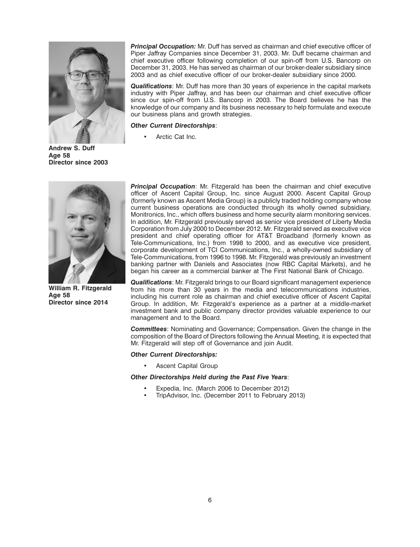

**Andrew S. Duff Age 58 Director since 2003**



*Principal Occupation:* Mr. Duff has served as chairman and chief executive officer of Piper Jaffray Companies since December 31, 2003. Mr. Duff became chairman and chief executive officer following completion of our spin-off from U.S. Bancorp on December 31, 2003. He has served as chairman of our broker-dealer subsidiary since 2003 and as chief executive officer of our broker-dealer subsidiary since 2000.

*Qualifications*: Mr. Duff has more than 30 years of experience in the capital markets industry with Piper Jaffray, and has been our chairman and chief executive officer since our spin-off from U.S. Bancorp in 2003. The Board believes he has the knowledge of our company and its business necessary to help formulate and execute our business plans and growth strategies.

*Other Current Directorships*:

Arctic Cat Inc.

*Principal Occupation*: Mr. Fitzgerald has been the chairman and chief executive officer of Ascent Capital Group, Inc. since August 2000. Ascent Capital Group (formerly known as Ascent Media Group) is a publicly traded holding company whose current business operations are conducted through its wholly owned subsidiary, Monitronics, Inc., which offers business and home security alarm monitoring services. In addition, Mr. Fitzgerald previously served as senior vice president of Liberty Media Corporation from July 2000 to December 2012. Mr. Fitzgerald served as executive vice president and chief operating officer for AT&T Broadband (formerly known as Tele-Communications, Inc.) from 1998 to 2000, and as executive vice president, corporate development of TCI Communications, Inc., a wholly-owned subsidiary of Tele-Communications, from 1996 to 1998. Mr. Fitzgerald was previously an investment banking partner with Daniels and Associates (now RBC Capital Markets), and he began his career as a commercial banker at The First National Bank of Chicago.

**Qualifications:** Mr. Fitzgerald brings to our Board significant management experience<br> **William R. Fitzgerald** from his more than 30 years in the media and telecommunications industries,<br> **Age 58** including his current ro investment bank and public company director provides valuable experience to our management and to the Board.

> *Committees*: Nominating and Governance; Compensation. Given the change in the composition of the Board of Directors following the Annual Meeting, it is expected that Mr. Fitzgerald will step off of Governance and join Audit.

#### *Other Current Directorships:*

• Ascent Capital Group

#### *Other Directorships Held during the Past Five Years*:

- Expedia, Inc. (March 2006 to December 2012)
- TripAdvisor, Inc. (December 2011 to February 2013)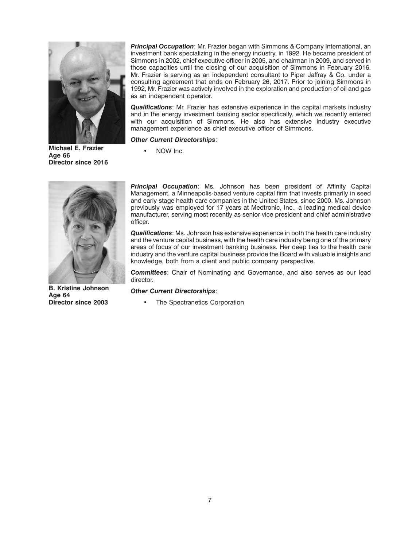

**Michael E. Frazier** • NOW Inc. **Age 66 Director since 2016**

*Principal Occupation*: Mr. Frazier began with Simmons & Company International, an investment bank specializing in the energy industry, in 1992. He became president of Simmons in 2002, chief executive officer in 2005, and chairman in 2009, and served in those capacities until the closing of our acquisition of Simmons in February 2016. Mr. Frazier is serving as an independent consultant to Piper Jaffray & Co. under a consulting agreement that ends on February 26, 2017. Prior to joining Simmons in 1992, Mr. Frazier was actively involved in the exploration and production of oil and gas as an independent operator.

*Qualifications*: Mr. Frazier has extensive experience in the capital markets industry and in the energy investment banking sector specifically, which we recently entered with our acquisition of Simmons. He also has extensive industry executive management experience as chief executive officer of Simmons.

*Other Current Directorships*:



**B. Kristine Johnson** *Other Current Directorships*: **Age 64**

*Principal Occupation*: Ms. Johnson has been president of Affinity Capital Management, a Minneapolis-based venture capital firm that invests primarily in seed and early-stage health care companies in the United States, since 2000. Ms. Johnson previously was employed for 17 years at Medtronic, Inc., a leading medical device manufacturer, serving most recently as senior vice president and chief administrative officer.

*Qualifications*: Ms. Johnson has extensive experience in both the health care industry and the venture capital business, with the health care industry being one of the primary areas of focus of our investment banking business. Her deep ties to the health care industry and the venture capital business provide the Board with valuable insights and knowledge, both from a client and public company perspective.

*Committees*: Chair of Nominating and Governance, and also serves as our lead director.

The Spectranetics Corporation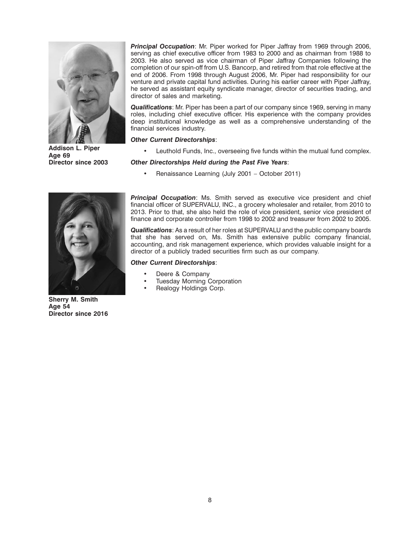

*Principal Occupation*: Mr. Piper worked for Piper Jaffray from 1969 through 2006, serving as chief executive officer from 1983 to 2000 and as chairman from 1988 to 2003. He also served as vice chairman of Piper Jaffray Companies following the completion of our spin-off from U.S. Bancorp, and retired from that role effective at the end of 2006. From 1998 through August 2006, Mr. Piper had responsibility for our venture and private capital fund activities. During his earlier career with Piper Jaffray, he served as assistant equity syndicate manager, director of securities trading, and director of sales and marketing.

*Qualifications*: Mr. Piper has been a part of our company since 1969, serving in many roles, including chief executive officer. His experience with the company provides deep institutional knowledge as well as a comprehensive understanding of the financial services industry.

#### *Other Current Directorships*:

Addison L. Piper **•** Leuthold Funds, Inc., overseeing five funds within the mutual fund complex.<br>Age 69<br>Director since 2003 **Other Directorships Held during the Past Five Years**:

#### **Director since 2003** *Other Directorships Held during the Past Five Years*:

• Renaissance Learning (July 2001 – October 2011)



*Principal Occupation*: Ms. Smith served as executive vice president and chief financial officer of SUPERVALU, INC., a grocery wholesaler and retailer, from 2010 to 2013. Prior to that, she also held the role of vice president, senior vice president of finance and corporate controller from 1998 to 2002 and treasurer from 2002 to 2005.

*Qualifications*: As a result of her roles at SUPERVALU and the public company boards that she has served on, Ms. Smith has extensive public company financial, accounting, and risk management experience, which provides valuable insight for a director of a publicly traded securities firm such as our company.

#### *Other Current Directorships*:

- Deere & Company
- Tuesday Morning Corporation
- Realogy Holdings Corp.

**Sherry M. Smith Age 54 Director since 2016**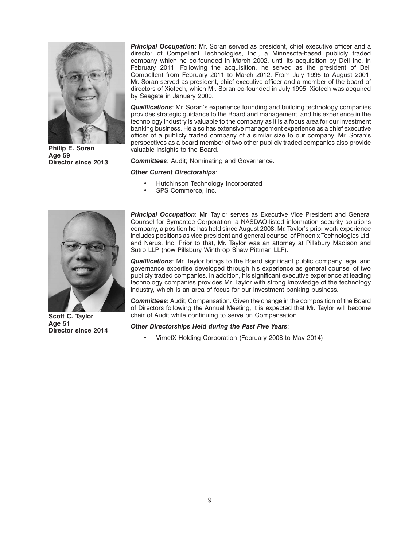

*Principal Occupation*: Mr. Soran served as president, chief executive officer and a director of Compellent Technologies, Inc., a Minnesota-based publicly traded company which he co-founded in March 2002, until its acquisition by Dell Inc. in February 2011. Following the acquisition, he served as the president of Dell Compellent from February 2011 to March 2012. From July 1995 to August 2001, Mr. Soran served as president, chief executive officer and a member of the board of directors of Xiotech, which Mr. Soran co-founded in July 1995. Xiotech was acquired by Seagate in January 2000.

*Qualifications*: Mr. Soran's experience founding and building technology companies provides strategic guidance to the Board and management, and his experience in the technology industry is valuable to the company as it is a focus area for our investment banking business. He also has extensive management experience as a chief executive officer of a publicly traded company of a similar size to our company. Mr. Soran's perspectives as a board member of two other publicly traded companies also provide<br> **Philip E. Soran** valuable insights to the Board.<br> **Age 59 Committees:** Audit; Nominating and Governance.

**Committees:** Audit; Nominating and Governance.

#### *Other Current Directorships*:

- Hutchinson Technology Incorporated
- SPS Commerce, Inc.



*Principal Occupation*: Mr. Taylor serves as Executive Vice President and General Counsel for Symantec Corporation, a NASDAQ-listed information security solutions company, a position he has held since August 2008. Mr. Taylor's prior work experience includes positions as vice president and general counsel of Phoenix Technologies Ltd. and Narus, Inc. Prior to that, Mr. Taylor was an attorney at Pillsbury Madison and Sutro LLP (now Pillsbury Winthrop Shaw Pittman LLP).

*Qualifications*: Mr. Taylor brings to the Board significant public company legal and governance expertise developed through his experience as general counsel of two publicly traded companies. In addition, his significant executive experience at leading technology companies provides Mr. Taylor with strong knowledge of the technology industry, which is an area of focus for our investment banking business.

*Committees***:** Audit; Compensation. Given the change in the composition of the Board of Directors following the Annual Meeting, it is expected that Mr. Taylor will become **Scott C. Taylor** chair of Audit while continuing to serve on Compensation.<br>Age 51 **Citizen Cather Directorships Hold during the Past Five Yoars:** 

#### **Age 51** *Other Directorships Held during the Past Five Years*: **Director since 2014**

• VirnetX Holding Corporation (February 2008 to May 2014)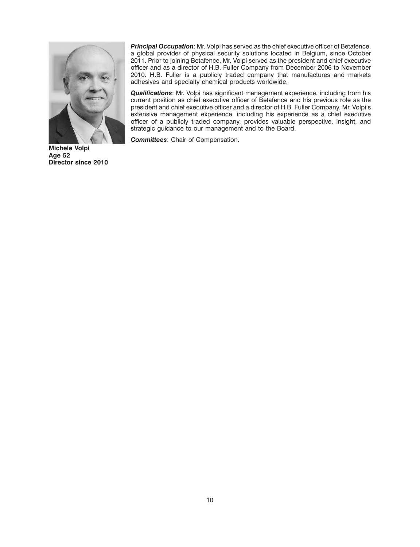

*Principal Occupation*: Mr. Volpi has served as the chief executive officer of Betafence, a global provider of physical security solutions located in Belgium, since October 2011. Prior to joining Betafence, Mr. Volpi served as the president and chief executive officer and as a director of H.B. Fuller Company from December 2006 to November 2010. H.B. Fuller is a publicly traded company that manufactures and markets adhesives and specialty chemical products worldwide.

*Qualifications*: Mr. Volpi has significant management experience, including from his current position as chief executive officer of Betafence and his previous role as the president and chief executive officer and a director of H.B. Fuller Company. Mr. Volpi's extensive management experience, including his experience as a chief executive officer of a publicly traded company, provides valuable perspective, insight, and strategic guidance to our management and to the Board.

*Committees*: Chair of Compensation.

**Michele Volpi Age 52 Director since 2010**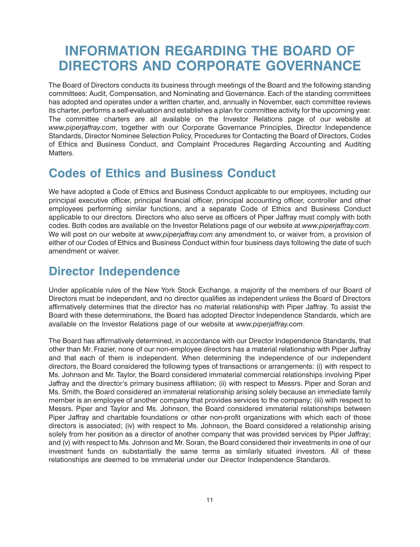# <span id="page-13-0"></span>**INFORMATION REGARDING THE BOARD OF DIRECTORS AND CORPORATE GOVERNANCE**

The Board of Directors conducts its business through meetings of the Board and the following standing committees: Audit, Compensation, and Nominating and Governance. Each of the standing committees has adopted and operates under a written charter, and, annually in November, each committee reviews its charter, performs a self-evaluation and establishes a plan for committee activity for the upcoming year. The committee charters are all available on the Investor Relations page of our website at *www.piperjaffray.com*, together with our Corporate Governance Principles, Director Independence Standards, Director Nominee Selection Policy, Procedures for Contacting the Board of Directors, Codes of Ethics and Business Conduct, and Complaint Procedures Regarding Accounting and Auditing Matters.

### **Codes of Ethics and Business Conduct**

We have adopted a Code of Ethics and Business Conduct applicable to our employees, including our principal executive officer, principal financial officer, principal accounting officer, controller and other employees performing similar functions, and a separate Code of Ethics and Business Conduct applicable to our directors. Directors who also serve as officers of Piper Jaffray must comply with both codes. Both codes are available on the Investor Relations page of our website at *www.piperjaffray.com*. We will post on our website at *www.piperjaffray.com* any amendment to, or waiver from, a provision of either of our Codes of Ethics and Business Conduct within four business days following the date of such amendment or waiver.

### **Director Independence**

Under applicable rules of the New York Stock Exchange, a majority of the members of our Board of Directors must be independent, and no director qualifies as independent unless the Board of Directors affirmatively determines that the director has no material relationship with Piper Jaffray. To assist the Board with these determinations, the Board has adopted Director Independence Standards, which are available on the Investor Relations page of our website at *www.piperjaffray.com*.

The Board has affirmatively determined, in accordance with our Director Independence Standards, that other than Mr. Frazier, none of our non-employee directors has a material relationship with Piper Jaffray and that each of them is independent. When determining the independence of our independent directors, the Board considered the following types of transactions or arrangements: (i) with respect to Ms. Johnson and Mr. Taylor, the Board considered immaterial commercial relationships involving Piper Jaffray and the director's primary business affiliation; (ii) with respect to Messrs. Piper and Soran and Ms. Smith, the Board considered an immaterial relationship arising solely because an immediate family member is an employee of another company that provides services to the company; (iii) with respect to Messrs. Piper and Taylor and Ms. Johnson, the Board considered immaterial relationships between Piper Jaffray and charitable foundations or other non-profit organizations with which each of those directors is associated; (iv) with respect to Ms. Johnson, the Board considered a relationship arising solely from her position as a director of another company that was provided services by Piper Jaffray; and (v) with respect to Ms. Johnson and Mr. Soran, the Board considered their investments in one of our investment funds on substantially the same terms as similarly situated investors. All of these relationships are deemed to be immaterial under our Director Independence Standards.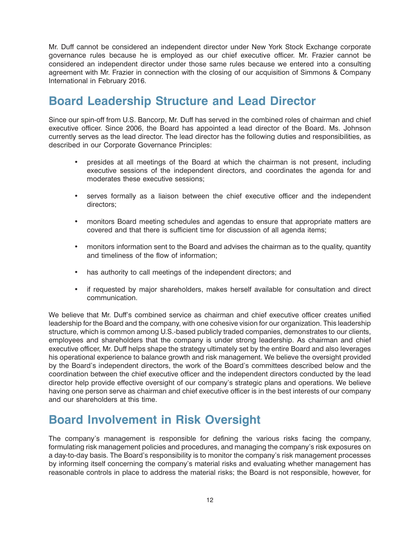<span id="page-14-0"></span>Mr. Duff cannot be considered an independent director under New York Stock Exchange corporate governance rules because he is employed as our chief executive officer. Mr. Frazier cannot be considered an independent director under those same rules because we entered into a consulting agreement with Mr. Frazier in connection with the closing of our acquisition of Simmons & Company International in February 2016.

### **Board Leadership Structure and Lead Director**

Since our spin-off from U.S. Bancorp, Mr. Duff has served in the combined roles of chairman and chief executive officer. Since 2006, the Board has appointed a lead director of the Board. Ms. Johnson currently serves as the lead director. The lead director has the following duties and responsibilities, as described in our Corporate Governance Principles:

- presides at all meetings of the Board at which the chairman is not present, including executive sessions of the independent directors, and coordinates the agenda for and moderates these executive sessions;
- serves formally as a liaison between the chief executive officer and the independent directors;
- monitors Board meeting schedules and agendas to ensure that appropriate matters are covered and that there is sufficient time for discussion of all agenda items;
- monitors information sent to the Board and advises the chairman as to the quality, quantity and timeliness of the flow of information;
- has authority to call meetings of the independent directors; and
- if requested by major shareholders, makes herself available for consultation and direct communication.

We believe that Mr. Duff's combined service as chairman and chief executive officer creates unified leadership for the Board and the company, with one cohesive vision for our organization. This leadership structure, which is common among U.S.-based publicly traded companies, demonstrates to our clients, employees and shareholders that the company is under strong leadership. As chairman and chief executive officer, Mr. Duff helps shape the strategy ultimately set by the entire Board and also leverages his operational experience to balance growth and risk management. We believe the oversight provided by the Board's independent directors, the work of the Board's committees described below and the coordination between the chief executive officer and the independent directors conducted by the lead director help provide effective oversight of our company's strategic plans and operations. We believe having one person serve as chairman and chief executive officer is in the best interests of our company and our shareholders at this time.

### **Board Involvement in Risk Oversight**

The company's management is responsible for defining the various risks facing the company, formulating risk management policies and procedures, and managing the company's risk exposures on a day-to-day basis. The Board's responsibility is to monitor the company's risk management processes by informing itself concerning the company's material risks and evaluating whether management has reasonable controls in place to address the material risks; the Board is not responsible, however, for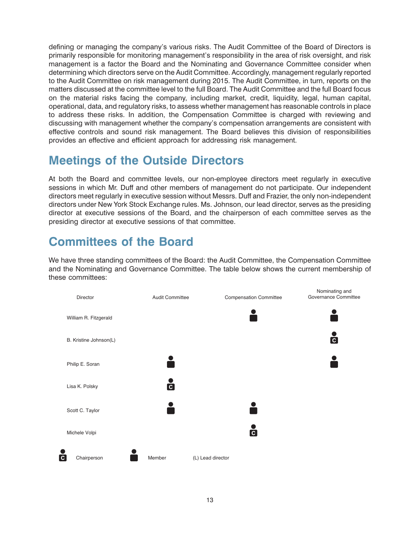<span id="page-15-0"></span>defining or managing the company's various risks. The Audit Committee of the Board of Directors is primarily responsible for monitoring management's responsibility in the area of risk oversight, and risk management is a factor the Board and the Nominating and Governance Committee consider when determining which directors serve on the Audit Committee. Accordingly, management regularly reported to the Audit Committee on risk management during 2015. The Audit Committee, in turn, reports on the matters discussed at the committee level to the full Board. The Audit Committee and the full Board focus on the material risks facing the company, including market, credit, liquidity, legal, human capital, operational, data, and regulatory risks, to assess whether management has reasonable controls in place to address these risks. In addition, the Compensation Committee is charged with reviewing and discussing with management whether the company's compensation arrangements are consistent with effective controls and sound risk management. The Board believes this division of responsibilities provides an effective and efficient approach for addressing risk management.

### **Meetings of the Outside Directors**

At both the Board and committee levels, our non-employee directors meet regularly in executive sessions in which Mr. Duff and other members of management do not participate. Our independent directors meet regularly in executive session without Messrs. Duff and Frazier, the only non-independent directors under New York Stock Exchange rules. Ms. Johnson, our lead director, serves as the presiding director at executive sessions of the Board, and the chairperson of each committee serves as the presiding director at executive sessions of that committee.

# **Committees of the Board**

We have three standing committees of the Board: the Audit Committee, the Compensation Committee and the Nominating and Governance Committee. The table below shows the current membership of these committees:

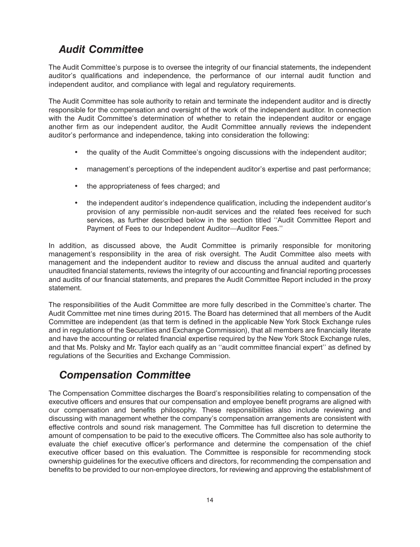### *Audit Committee*

The Audit Committee's purpose is to oversee the integrity of our financial statements, the independent auditor's qualifications and independence, the performance of our internal audit function and independent auditor, and compliance with legal and regulatory requirements.

The Audit Committee has sole authority to retain and terminate the independent auditor and is directly responsible for the compensation and oversight of the work of the independent auditor. In connection with the Audit Committee's determination of whether to retain the independent auditor or engage another firm as our independent auditor, the Audit Committee annually reviews the independent auditor's performance and independence, taking into consideration the following:

- the quality of the Audit Committee's ongoing discussions with the independent auditor;
- management's perceptions of the independent auditor's expertise and past performance;
- the appropriateness of fees charged; and
- the independent auditor's independence qualification, including the independent auditor's provision of any permissible non-audit services and the related fees received for such services, as further described below in the section titled ''Audit Committee Report and Payment of Fees to our Independent Auditor—Auditor Fees.''

In addition, as discussed above, the Audit Committee is primarily responsible for monitoring management's responsibility in the area of risk oversight. The Audit Committee also meets with management and the independent auditor to review and discuss the annual audited and quarterly unaudited financial statements, reviews the integrity of our accounting and financial reporting processes and audits of our financial statements, and prepares the Audit Committee Report included in the proxy statement.

The responsibilities of the Audit Committee are more fully described in the Committee's charter. The Audit Committee met nine times during 2015. The Board has determined that all members of the Audit Committee are independent (as that term is defined in the applicable New York Stock Exchange rules and in regulations of the Securities and Exchange Commission), that all members are financially literate and have the accounting or related financial expertise required by the New York Stock Exchange rules, and that Ms. Polsky and Mr. Taylor each qualify as an ''audit committee financial expert'' as defined by regulations of the Securities and Exchange Commission.

#### *Compensation Committee*

The Compensation Committee discharges the Board's responsibilities relating to compensation of the executive officers and ensures that our compensation and employee benefit programs are aligned with our compensation and benefits philosophy. These responsibilities also include reviewing and discussing with management whether the company's compensation arrangements are consistent with effective controls and sound risk management. The Committee has full discretion to determine the amount of compensation to be paid to the executive officers. The Committee also has sole authority to evaluate the chief executive officer's performance and determine the compensation of the chief executive officer based on this evaluation. The Committee is responsible for recommending stock ownership guidelines for the executive officers and directors, for recommending the compensation and benefits to be provided to our non-employee directors, for reviewing and approving the establishment of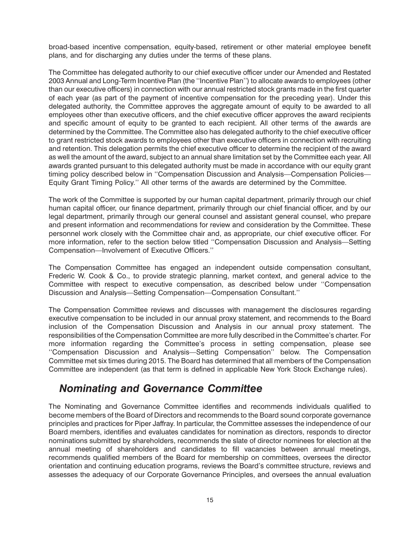broad-based incentive compensation, equity-based, retirement or other material employee benefit plans, and for discharging any duties under the terms of these plans.

The Committee has delegated authority to our chief executive officer under our Amended and Restated 2003 Annual and Long-Term Incentive Plan (the ''Incentive Plan'') to allocate awards to employees (other than our executive officers) in connection with our annual restricted stock grants made in the first quarter of each year (as part of the payment of incentive compensation for the preceding year). Under this delegated authority, the Committee approves the aggregate amount of equity to be awarded to all employees other than executive officers, and the chief executive officer approves the award recipients and specific amount of equity to be granted to each recipient. All other terms of the awards are determined by the Committee. The Committee also has delegated authority to the chief executive officer to grant restricted stock awards to employees other than executive officers in connection with recruiting and retention. This delegation permits the chief executive officer to determine the recipient of the award as well the amount of the award, subject to an annual share limitation set by the Committee each year. All awards granted pursuant to this delegated authority must be made in accordance with our equity grant timing policy described below in ''Compensation Discussion and Analysis—Compensation Policies— Equity Grant Timing Policy.'' All other terms of the awards are determined by the Committee.

The work of the Committee is supported by our human capital department, primarily through our chief human capital officer, our finance department, primarily through our chief financial officer, and by our legal department, primarily through our general counsel and assistant general counsel, who prepare and present information and recommendations for review and consideration by the Committee. These personnel work closely with the Committee chair and, as appropriate, our chief executive officer. For more information, refer to the section below titled ''Compensation Discussion and Analysis—Setting Compensation—Involvement of Executive Officers.''

The Compensation Committee has engaged an independent outside compensation consultant, Frederic W. Cook & Co., to provide strategic planning, market context, and general advice to the Committee with respect to executive compensation, as described below under ''Compensation Discussion and Analysis—Setting Compensation—Compensation Consultant.''

The Compensation Committee reviews and discusses with management the disclosures regarding executive compensation to be included in our annual proxy statement, and recommends to the Board inclusion of the Compensation Discussion and Analysis in our annual proxy statement. The responsibilities of the Compensation Committee are more fully described in the Committee's charter. For more information regarding the Committee's process in setting compensation, please see ''Compensation Discussion and Analysis—Setting Compensation'' below. The Compensation Committee met six times during 2015. The Board has determined that all members of the Compensation Committee are independent (as that term is defined in applicable New York Stock Exchange rules).

#### *Nominating and Governance Committee*

The Nominating and Governance Committee identifies and recommends individuals qualified to become members of the Board of Directors and recommends to the Board sound corporate governance principles and practices for Piper Jaffray. In particular, the Committee assesses the independence of our Board members, identifies and evaluates candidates for nomination as directors, responds to director nominations submitted by shareholders, recommends the slate of director nominees for election at the annual meeting of shareholders and candidates to fill vacancies between annual meetings, recommends qualified members of the Board for membership on committees, oversees the director orientation and continuing education programs, reviews the Board's committee structure, reviews and assesses the adequacy of our Corporate Governance Principles, and oversees the annual evaluation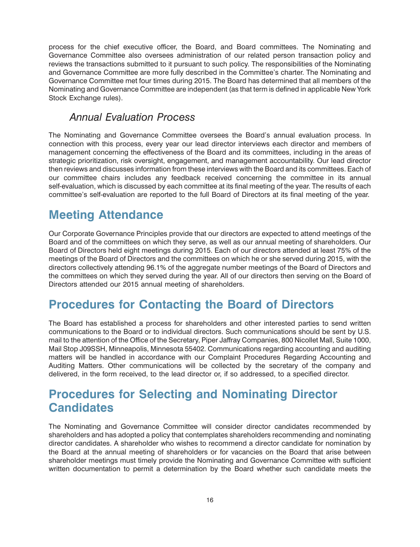<span id="page-18-0"></span>process for the chief executive officer, the Board, and Board committees. The Nominating and Governance Committee also oversees administration of our related person transaction policy and reviews the transactions submitted to it pursuant to such policy. The responsibilities of the Nominating and Governance Committee are more fully described in the Committee's charter. The Nominating and Governance Committee met four times during 2015. The Board has determined that all members of the Nominating and Governance Committee are independent (as that term is defined in applicable New York Stock Exchange rules).

#### *Annual Evaluation Process*

The Nominating and Governance Committee oversees the Board's annual evaluation process. In connection with this process, every year our lead director interviews each director and members of management concerning the effectiveness of the Board and its committees, including in the areas of strategic prioritization, risk oversight, engagement, and management accountability. Our lead director then reviews and discusses information from these interviews with the Board and its committees. Each of our committee chairs includes any feedback received concerning the committee in its annual self-evaluation, which is discussed by each committee at its final meeting of the year. The results of each committee's self-evaluation are reported to the full Board of Directors at its final meeting of the year.

### **Meeting Attendance**

Our Corporate Governance Principles provide that our directors are expected to attend meetings of the Board and of the committees on which they serve, as well as our annual meeting of shareholders. Our Board of Directors held eight meetings during 2015. Each of our directors attended at least 75% of the meetings of the Board of Directors and the committees on which he or she served during 2015, with the directors collectively attending 96.1% of the aggregate number meetings of the Board of Directors and the committees on which they served during the year. All of our directors then serving on the Board of Directors attended our 2015 annual meeting of shareholders.

### **Procedures for Contacting the Board of Directors**

The Board has established a process for shareholders and other interested parties to send written communications to the Board or to individual directors. Such communications should be sent by U.S. mail to the attention of the Office of the Secretary, Piper Jaffray Companies, 800 Nicollet Mall, Suite 1000, Mail Stop J09SSH, Minneapolis, Minnesota 55402. Communications regarding accounting and auditing matters will be handled in accordance with our Complaint Procedures Regarding Accounting and Auditing Matters. Other communications will be collected by the secretary of the company and delivered, in the form received, to the lead director or, if so addressed, to a specified director.

### **Procedures for Selecting and Nominating Director Candidates**

The Nominating and Governance Committee will consider director candidates recommended by shareholders and has adopted a policy that contemplates shareholders recommending and nominating director candidates. A shareholder who wishes to recommend a director candidate for nomination by the Board at the annual meeting of shareholders or for vacancies on the Board that arise between shareholder meetings must timely provide the Nominating and Governance Committee with sufficient written documentation to permit a determination by the Board whether such candidate meets the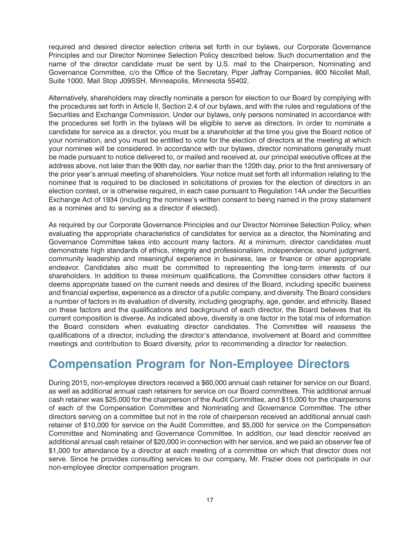<span id="page-19-0"></span>required and desired director selection criteria set forth in our bylaws, our Corporate Governance Principles and our Director Nominee Selection Policy described below. Such documentation and the name of the director candidate must be sent by U.S. mail to the Chairperson, Nominating and Governance Committee, c/o the Office of the Secretary, Piper Jaffray Companies, 800 Nicollet Mall, Suite 1000, Mail Stop J09SSH, Minneapolis, Minnesota 55402.

Alternatively, shareholders may directly nominate a person for election to our Board by complying with the procedures set forth in Article II, Section 2.4 of our bylaws, and with the rules and regulations of the Securities and Exchange Commission. Under our bylaws, only persons nominated in accordance with the procedures set forth in the bylaws will be eligible to serve as directors. In order to nominate a candidate for service as a director, you must be a shareholder at the time you give the Board notice of your nomination, and you must be entitled to vote for the election of directors at the meeting at which your nominee will be considered. In accordance with our bylaws, director nominations generally must be made pursuant to notice delivered to, or mailed and received at, our principal executive offices at the address above, not later than the 90th day, nor earlier than the 120th day, prior to the first anniversary of the prior year's annual meeting of shareholders. Your notice must set forth all information relating to the nominee that is required to be disclosed in solicitations of proxies for the election of directors in an election contest, or is otherwise required, in each case pursuant to Regulation 14A under the Securities Exchange Act of 1934 (including the nominee's written consent to being named in the proxy statement as a nominee and to serving as a director if elected).

As required by our Corporate Governance Principles and our Director Nominee Selection Policy, when evaluating the appropriate characteristics of candidates for service as a director, the Nominating and Governance Committee takes into account many factors. At a minimum, director candidates must demonstrate high standards of ethics, integrity and professionalism, independence, sound judgment, community leadership and meaningful experience in business, law or finance or other appropriate endeavor. Candidates also must be committed to representing the long-term interests of our shareholders. In addition to these minimum qualifications, the Committee considers other factors it deems appropriate based on the current needs and desires of the Board, including specific business and financial expertise, experience as a director of a public company, and diversity. The Board considers a number of factors in its evaluation of diversity, including geography, age, gender, and ethnicity. Based on these factors and the qualifications and background of each director, the Board believes that its current composition is diverse. As indicated above, diversity is one factor in the total mix of information the Board considers when evaluating director candidates. The Committee will reassess the qualifications of a director, including the director's attendance, involvement at Board and committee meetings and contribution to Board diversity, prior to recommending a director for reelection.

### **Compensation Program for Non-Employee Directors**

During 2015, non-employee directors received a \$60,000 annual cash retainer for service on our Board, as well as additional annual cash retainers for service on our Board committees. This additional annual cash retainer was \$25,000 for the chairperson of the Audit Committee, and \$15,000 for the chairpersons of each of the Compensation Committee and Nominating and Governance Committee. The other directors serving on a committee but not in the role of chairperson received an additional annual cash retainer of \$10,000 for service on the Audit Committee, and \$5,000 for service on the Compensation Committee and Nominating and Governance Committee. In addition, our lead director received an additional annual cash retainer of \$20,000 in connection with her service, and we paid an observer fee of \$1,000 for attendance by a director at each meeting of a committee on which that director does not serve. Since he provides consulting services to our company, Mr. Frazier does not participate in our non-employee director compensation program.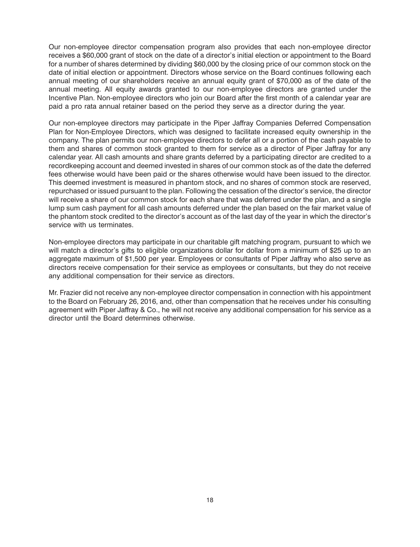Our non-employee director compensation program also provides that each non-employee director receives a \$60,000 grant of stock on the date of a director's initial election or appointment to the Board for a number of shares determined by dividing \$60,000 by the closing price of our common stock on the date of initial election or appointment. Directors whose service on the Board continues following each annual meeting of our shareholders receive an annual equity grant of \$70,000 as of the date of the annual meeting. All equity awards granted to our non-employee directors are granted under the Incentive Plan. Non-employee directors who join our Board after the first month of a calendar year are paid a pro rata annual retainer based on the period they serve as a director during the year.

Our non-employee directors may participate in the Piper Jaffray Companies Deferred Compensation Plan for Non-Employee Directors, which was designed to facilitate increased equity ownership in the company. The plan permits our non-employee directors to defer all or a portion of the cash payable to them and shares of common stock granted to them for service as a director of Piper Jaffray for any calendar year. All cash amounts and share grants deferred by a participating director are credited to a recordkeeping account and deemed invested in shares of our common stock as of the date the deferred fees otherwise would have been paid or the shares otherwise would have been issued to the director. This deemed investment is measured in phantom stock, and no shares of common stock are reserved, repurchased or issued pursuant to the plan. Following the cessation of the director's service, the director will receive a share of our common stock for each share that was deferred under the plan, and a single lump sum cash payment for all cash amounts deferred under the plan based on the fair market value of the phantom stock credited to the director's account as of the last day of the year in which the director's service with us terminates.

Non-employee directors may participate in our charitable gift matching program, pursuant to which we will match a director's gifts to eligible organizations dollar for dollar from a minimum of \$25 up to an aggregate maximum of \$1,500 per year. Employees or consultants of Piper Jaffray who also serve as directors receive compensation for their service as employees or consultants, but they do not receive any additional compensation for their service as directors.

Mr. Frazier did not receive any non-employee director compensation in connection with his appointment to the Board on February 26, 2016, and, other than compensation that he receives under his consulting agreement with Piper Jaffray & Co., he will not receive any additional compensation for his service as a director until the Board determines otherwise.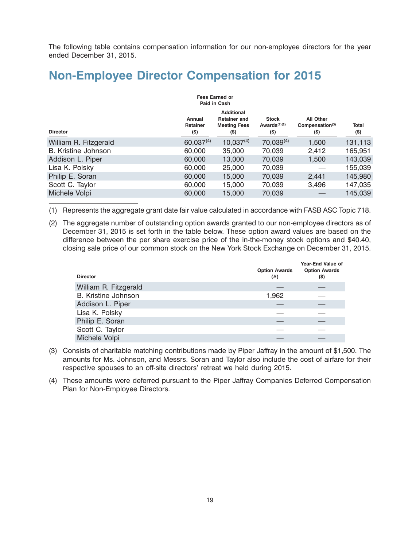<span id="page-21-0"></span>The following table contains compensation information for our non-employee directors for the year ended December 31, 2015.

### **Non-Employee Director Compensation for 2015**

|                       |                             | <b>Fees Earned or</b><br>Paid in Cash                                    |                                            |                                                        |                         |
|-----------------------|-----------------------------|--------------------------------------------------------------------------|--------------------------------------------|--------------------------------------------------------|-------------------------|
| <b>Director</b>       | Annual<br>Retainer<br>$($)$ | <b>Additional</b><br><b>Retainer and</b><br><b>Meeting Fees</b><br>$($)$ | <b>Stock</b><br>Awards $(1)(2)$<br>$($ \$) | <b>All Other</b><br>Compensation <sup>(3)</sup><br>(S) | <b>Total</b><br>$($ \$) |
| William R. Fitzgerald | $60,037^{(4)}$              | $10,037^{(4)}$                                                           | $70,039^{(4)}$                             | 1,500                                                  | 131,113                 |
| B. Kristine Johnson   | 60,000                      | 35,000                                                                   | 70,039                                     | 2,412                                                  | 165,951                 |
| Addison L. Piper      | 60,000                      | 13,000                                                                   | 70,039                                     | 1,500                                                  | 143,039                 |
| Lisa K. Polsky        | 60,000                      | 25,000                                                                   | 70,039                                     |                                                        | 155,039                 |
| Philip E. Soran       | 60,000                      | 15,000                                                                   | 70,039                                     | 2,441                                                  | 145,980                 |
| Scott C. Taylor       | 60,000                      | 15,000                                                                   | 70,039                                     | 3,496                                                  | 147,035                 |
| Michele Volpi         | 60,000                      | 15,000                                                                   | 70,039                                     |                                                        | 145,039                 |

(1) Represents the aggregate grant date fair value calculated in accordance with FASB ASC Topic 718.

(2) The aggregate number of outstanding option awards granted to our non-employee directors as of December 31, 2015 is set forth in the table below. These option award values are based on the difference between the per share exercise price of the in-the-money stock options and \$40.40, closing sale price of our common stock on the New York Stock Exchange on December 31, 2015.

| <b>Director</b>            | <b>Option Awards</b><br>(# ) | Year-End Value of<br><b>Option Awards</b><br>$($ \$ |
|----------------------------|------------------------------|-----------------------------------------------------|
| William R. Fitzgerald      |                              |                                                     |
| <b>B.</b> Kristine Johnson | 1,962                        |                                                     |
| Addison L. Piper           |                              |                                                     |
| Lisa K. Polsky             |                              |                                                     |
| Philip E. Soran            |                              |                                                     |
| Scott C. Taylor            |                              |                                                     |
| Michele Volpi              |                              |                                                     |

- (3) Consists of charitable matching contributions made by Piper Jaffray in the amount of \$1,500. The amounts for Ms. Johnson, and Messrs. Soran and Taylor also include the cost of airfare for their respective spouses to an off-site directors' retreat we held during 2015.
- (4) These amounts were deferred pursuant to the Piper Jaffray Companies Deferred Compensation Plan for Non-Employee Directors.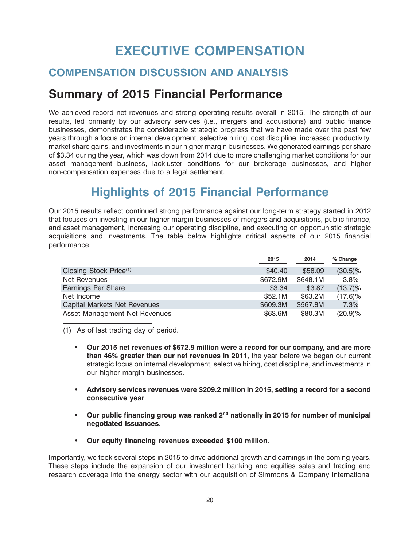# **EXECUTIVE COMPENSATION**

#### <span id="page-22-0"></span>**COMPENSATION DISCUSSION AND ANALYSIS**

### **Summary of 2015 Financial Performance**

We achieved record net revenues and strong operating results overall in 2015. The strength of our results, led primarily by our advisory services (i.e., mergers and acquisitions) and public finance businesses, demonstrates the considerable strategic progress that we have made over the past few years through a focus on internal development, selective hiring, cost discipline, increased productivity, market share gains, and investments in our higher margin businesses. We generated earnings per share of \$3.34 during the year, which was down from 2014 due to more challenging market conditions for our asset management business, lackluster conditions for our brokerage businesses, and higher non-compensation expenses due to a legal settlement.

# **Highlights of 2015 Financial Performance**

Our 2015 results reflect continued strong performance against our long-term strategy started in 2012 that focuses on investing in our higher margin businesses of mergers and acquisitions, public finance, and asset management, increasing our operating discipline, and executing on opportunistic strategic acquisitions and investments. The table below highlights critical aspects of our 2015 financial performance:

|                                    | 2015     | 2014     | % Change   |
|------------------------------------|----------|----------|------------|
| Closing Stock Price <sup>(1)</sup> | \$40.40  | \$58.09  | $(30.5)\%$ |
| Net Revenues                       | \$672.9M | \$648.1M | 3.8%       |
| Earnings Per Share                 | \$3.34   | \$3.87   | $(13.7)\%$ |
| Net Income                         | \$52.1M  | \$63.2M  | $(17.6)\%$ |
| Capital Markets Net Revenues       | \$609.3M | \$567.8M | 7.3%       |
| Asset Management Net Revenues      | \$63.6M  | \$80.3M  | (20.9)%    |

(1) As of last trading day of period.

- **Our 2015 net revenues of \$672.9 million were a record for our company, and are more than 46% greater than our net revenues in 2011**, the year before we began our current strategic focus on internal development, selective hiring, cost discipline, and investments in our higher margin businesses.
- **Advisory services revenues were \$209.2 million in 2015, setting a record for a second consecutive year**.
- **Our public financing group was ranked 2nd nationally in 2015 for number of municipal negotiated issuances**.
- **Our equity financing revenues exceeded \$100 million**.

Importantly, we took several steps in 2015 to drive additional growth and earnings in the coming years. These steps include the expansion of our investment banking and equities sales and trading and research coverage into the energy sector with our acquisition of Simmons & Company International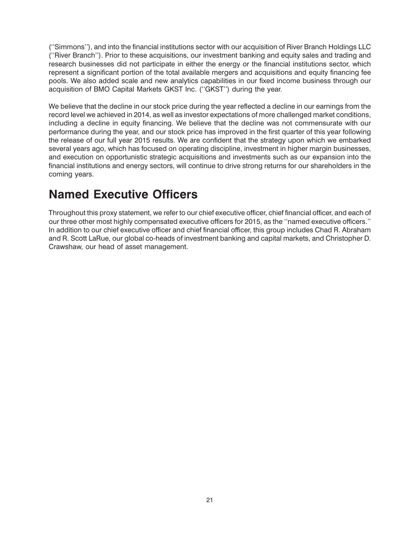(''Simmons''), and into the financial institutions sector with our acquisition of River Branch Holdings LLC (''River Branch''). Prior to these acquisitions, our investment banking and equity sales and trading and research businesses did not participate in either the energy or the financial institutions sector, which represent a significant portion of the total available mergers and acquisitions and equity financing fee pools. We also added scale and new analytics capabilities in our fixed income business through our acquisition of BMO Capital Markets GKST Inc. (''GKST'') during the year.

We believe that the decline in our stock price during the year reflected a decline in our earnings from the record level we achieved in 2014, as well as investor expectations of more challenged market conditions, including a decline in equity financing. We believe that the decline was not commensurate with our performance during the year, and our stock price has improved in the first quarter of this year following the release of our full year 2015 results. We are confident that the strategy upon which we embarked several years ago, which has focused on operating discipline, investment in higher margin businesses, and execution on opportunistic strategic acquisitions and investments such as our expansion into the financial institutions and energy sectors, will continue to drive strong returns for our shareholders in the coming years.

# **Named Executive Officers**

Throughout this proxy statement, we refer to our chief executive officer, chief financial officer, and each of our three other most highly compensated executive officers for 2015, as the ''named executive officers.'' In addition to our chief executive officer and chief financial officer, this group includes Chad R. Abraham and R. Scott LaRue, our global co-heads of investment banking and capital markets, and Christopher D. Crawshaw, our head of asset management.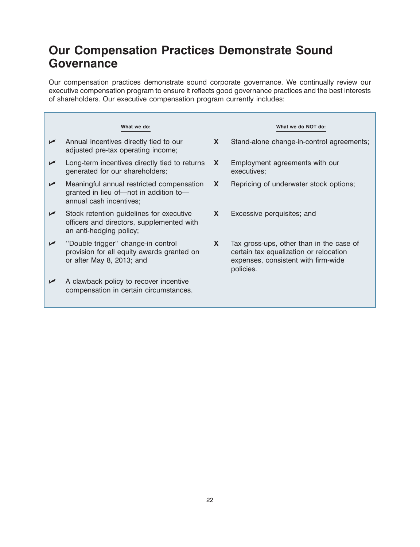### **Our Compensation Practices Demonstrate Sound Governance**

Our compensation practices demonstrate sound corporate governance. We continually review our executive compensation program to ensure it reflects good governance practices and the best interests of shareholders. Our executive compensation program currently includes:

|                       | What we do:                                                                                                      |    | What we do NOT do:                                                                                                                     |
|-----------------------|------------------------------------------------------------------------------------------------------------------|----|----------------------------------------------------------------------------------------------------------------------------------------|
| $\sqrt{ }$            | Annual incentives directly tied to our<br>adjusted pre-tax operating income;                                     | X  | Stand-alone change-in-control agreements;                                                                                              |
| $\sqrt{ }$            | Long-term incentives directly tied to returns<br>generated for our shareholders;                                 | X. | Employment agreements with our<br>executives;                                                                                          |
| $\blacktriangleright$ | Meaningful annual restricted compensation<br>granted in lieu of-not in addition to-<br>annual cash incentives;   | X  | Repricing of underwater stock options;                                                                                                 |
| $\sqrt{ }$            | Stock retention guidelines for executive<br>officers and directors, supplemented with<br>an anti-hedging policy; | X  | Excessive perquisites; and                                                                                                             |
|                       | "Double trigger" change-in control<br>provision for all equity awards granted on<br>or after May 8, 2013; and    | X. | Tax gross-ups, other than in the case of<br>certain tax equalization or relocation<br>expenses, consistent with firm-wide<br>policies. |
| ✔                     | A clawback policy to recover incentive<br>compensation in certain circumstances.                                 |    |                                                                                                                                        |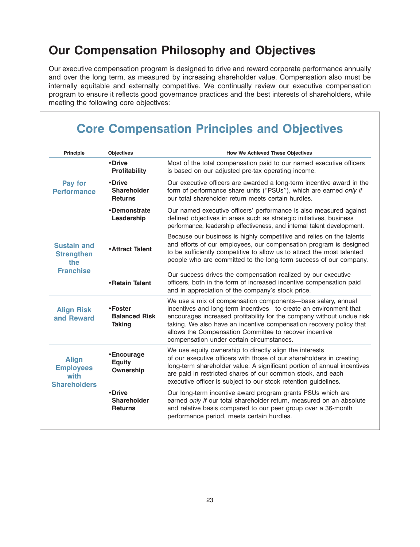# **Our Compensation Philosophy and Objectives**

Our executive compensation program is designed to drive and reward corporate performance annually and over the long term, as measured by increasing shareholder value. Compensation also must be internally equitable and externally competitive. We continually review our executive compensation program to ensure it reflects good governance practices and the best interests of shareholders, while meeting the following core objectives:

| <b>Principle</b>                                                | <b>Objectives</b>                                | <b>How We Achieved These Objectives</b>                                                                                                                                                                                                                                                                                                                                                 |
|-----------------------------------------------------------------|--------------------------------------------------|-----------------------------------------------------------------------------------------------------------------------------------------------------------------------------------------------------------------------------------------------------------------------------------------------------------------------------------------------------------------------------------------|
|                                                                 | • Drive<br><b>Profitability</b>                  | Most of the total compensation paid to our named executive officers<br>is based on our adjusted pre-tax operating income.                                                                                                                                                                                                                                                               |
| Pay for<br><b>Performance</b>                                   | • Drive<br><b>Shareholder</b><br><b>Returns</b>  | Our executive officers are awarded a long-term incentive award in the<br>form of performance share units ("PSUs"), which are earned only if<br>our total shareholder return meets certain hurdles.                                                                                                                                                                                      |
|                                                                 | •Demonstrate<br>Leadership                       | Our named executive officers' performance is also measured against<br>defined objectives in areas such as strategic initiatives, business<br>performance, leadership effectiveness, and internal talent development.                                                                                                                                                                    |
| <b>Sustain and</b><br><b>Strengthen</b><br>the                  | <b>.</b> Attract Talent                          | Because our business is highly competitive and relies on the talents<br>and efforts of our employees, our compensation program is designed<br>to be sufficiently competitive to allow us to attract the most talented<br>people who are committed to the long-term success of our company.                                                                                              |
| <b>Franchise</b>                                                | • Retain Talent                                  | Our success drives the compensation realized by our executive<br>officers, both in the form of increased incentive compensation paid<br>and in appreciation of the company's stock price.                                                                                                                                                                                               |
| <b>Align Risk</b><br>and Reward                                 | •Foster<br><b>Balanced Risk</b><br><b>Taking</b> | We use a mix of compensation components—base salary, annual<br>incentives and long-term incentives-to create an environment that<br>encourages increased profitability for the company without undue risk<br>taking. We also have an incentive compensation recovery policy that<br>allows the Compensation Committee to recover incentive<br>compensation under certain circumstances. |
| <b>Align</b><br><b>Employees</b><br>with<br><b>Shareholders</b> | • Encourage<br><b>Equity</b><br>Ownership        | We use equity ownership to directly align the interests<br>of our executive officers with those of our shareholders in creating<br>long-term shareholder value. A significant portion of annual incentives<br>are paid in restricted shares of our common stock, and each<br>executive officer is subject to our stock retention guidelines.                                            |
|                                                                 | • Drive<br><b>Shareholder</b><br><b>Returns</b>  | Our long-term incentive award program grants PSUs which are<br>earned only if our total shareholder return, measured on an absolute<br>and relative basis compared to our peer group over a 36-month<br>performance period, meets certain hurdles.                                                                                                                                      |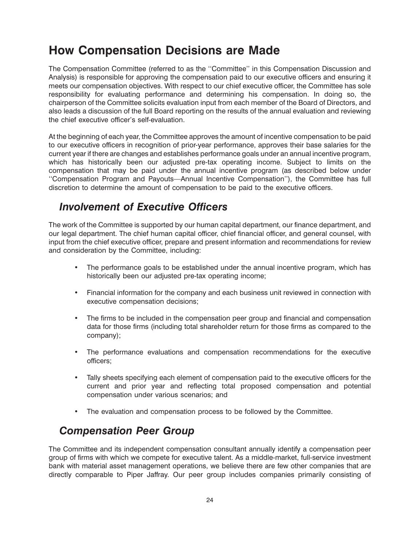### **How Compensation Decisions are Made**

The Compensation Committee (referred to as the ''Committee'' in this Compensation Discussion and Analysis) is responsible for approving the compensation paid to our executive officers and ensuring it meets our compensation objectives. With respect to our chief executive officer, the Committee has sole responsibility for evaluating performance and determining his compensation. In doing so, the chairperson of the Committee solicits evaluation input from each member of the Board of Directors, and also leads a discussion of the full Board reporting on the results of the annual evaluation and reviewing the chief executive officer's self-evaluation.

At the beginning of each year, the Committee approves the amount of incentive compensation to be paid to our executive officers in recognition of prior-year performance, approves their base salaries for the current year if there are changes and establishes performance goals under an annual incentive program, which has historically been our adjusted pre-tax operating income. Subject to limits on the compensation that may be paid under the annual incentive program (as described below under ''Compensation Program and Payouts—Annual Incentive Compensation''), the Committee has full discretion to determine the amount of compensation to be paid to the executive officers.

#### *Involvement of Executive Officers*

The work of the Committee is supported by our human capital department, our finance department, and our legal department. The chief human capital officer, chief financial officer, and general counsel, with input from the chief executive officer, prepare and present information and recommendations for review and consideration by the Committee, including:

- The performance goals to be established under the annual incentive program, which has historically been our adjusted pre-tax operating income;
- Financial information for the company and each business unit reviewed in connection with executive compensation decisions;
- The firms to be included in the compensation peer group and financial and compensation data for those firms (including total shareholder return for those firms as compared to the company);
- The performance evaluations and compensation recommendations for the executive officers;
- Tally sheets specifying each element of compensation paid to the executive officers for the current and prior year and reflecting total proposed compensation and potential compensation under various scenarios; and
- The evaluation and compensation process to be followed by the Committee.

#### *Compensation Peer Group*

The Committee and its independent compensation consultant annually identify a compensation peer group of firms with which we compete for executive talent. As a middle-market, full-service investment bank with material asset management operations, we believe there are few other companies that are directly comparable to Piper Jaffray. Our peer group includes companies primarily consisting of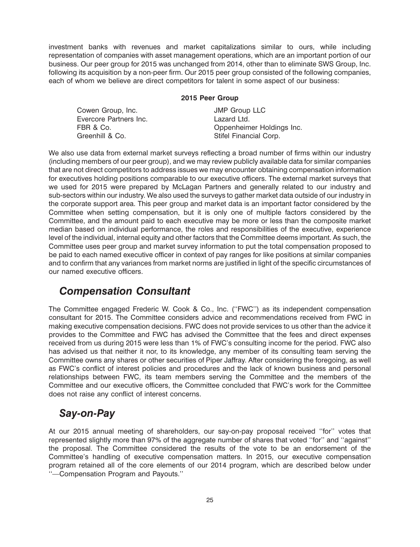investment banks with revenues and market capitalizations similar to ours, while including representation of companies with asset management operations, which are an important portion of our business. Our peer group for 2015 was unchanged from 2014, other than to eliminate SWS Group, Inc. following its acquisition by a non-peer firm. Our 2015 peer group consisted of the following companies, each of whom we believe are direct competitors for talent in some aspect of our business:

#### **2015 Peer Group**

Cowen Group, Inc. **Inc. JMP** Group LLC Evercore Partners Inc.<br>
FBR & Co.<br>
Oppenheim Greenhill & Co. Stifel Financial Corp.

Oppenheimer Holdings Inc.

We also use data from external market surveys reflecting a broad number of firms within our industry (including members of our peer group), and we may review publicly available data for similar companies that are not direct competitors to address issues we may encounter obtaining compensation information for executives holding positions comparable to our executive officers. The external market surveys that we used for 2015 were prepared by McLagan Partners and generally related to our industry and sub-sectors within our industry. We also used the surveys to gather market data outside of our industry in the corporate support area. This peer group and market data is an important factor considered by the Committee when setting compensation, but it is only one of multiple factors considered by the Committee, and the amount paid to each executive may be more or less than the composite market median based on individual performance, the roles and responsibilities of the executive, experience level of the individual, internal equity and other factors that the Committee deems important. As such, the Committee uses peer group and market survey information to put the total compensation proposed to be paid to each named executive officer in context of pay ranges for like positions at similar companies and to confirm that any variances from market norms are justified in light of the specific circumstances of our named executive officers.

#### *Compensation Consultant*

The Committee engaged Frederic W. Cook & Co., Inc. (''FWC'') as its independent compensation consultant for 2015. The Committee considers advice and recommendations received from FWC in making executive compensation decisions. FWC does not provide services to us other than the advice it provides to the Committee and FWC has advised the Committee that the fees and direct expenses received from us during 2015 were less than 1% of FWC's consulting income for the period. FWC also has advised us that neither it nor, to its knowledge, any member of its consulting team serving the Committee owns any shares or other securities of Piper Jaffray. After considering the foregoing, as well as FWC's conflict of interest policies and procedures and the lack of known business and personal relationships between FWC, its team members serving the Committee and the members of the Committee and our executive officers, the Committee concluded that FWC's work for the Committee does not raise any conflict of interest concerns.

#### *Say-on-Pay*

At our 2015 annual meeting of shareholders, our say-on-pay proposal received ''for'' votes that represented slightly more than 97% of the aggregate number of shares that voted ''for'' and ''against'' the proposal. The Committee considered the results of the vote to be an endorsement of the Committee's handling of executive compensation matters. In 2015, our executive compensation program retained all of the core elements of our 2014 program, which are described below under ''—Compensation Program and Payouts.''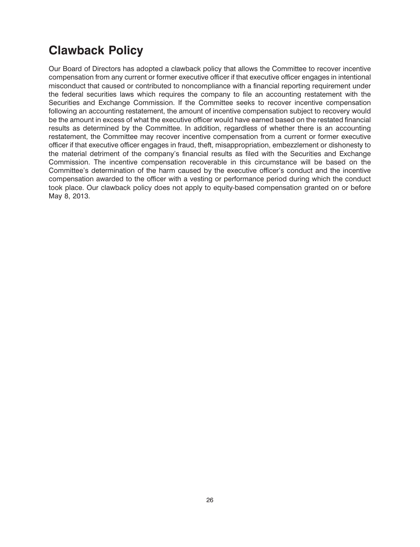# **Clawback Policy**

Our Board of Directors has adopted a clawback policy that allows the Committee to recover incentive compensation from any current or former executive officer if that executive officer engages in intentional misconduct that caused or contributed to noncompliance with a financial reporting requirement under the federal securities laws which requires the company to file an accounting restatement with the Securities and Exchange Commission. If the Committee seeks to recover incentive compensation following an accounting restatement, the amount of incentive compensation subject to recovery would be the amount in excess of what the executive officer would have earned based on the restated financial results as determined by the Committee. In addition, regardless of whether there is an accounting restatement, the Committee may recover incentive compensation from a current or former executive officer if that executive officer engages in fraud, theft, misappropriation, embezzlement or dishonesty to the material detriment of the company's financial results as filed with the Securities and Exchange Commission. The incentive compensation recoverable in this circumstance will be based on the Committee's determination of the harm caused by the executive officer's conduct and the incentive compensation awarded to the officer with a vesting or performance period during which the conduct took place. Our clawback policy does not apply to equity-based compensation granted on or before May 8, 2013.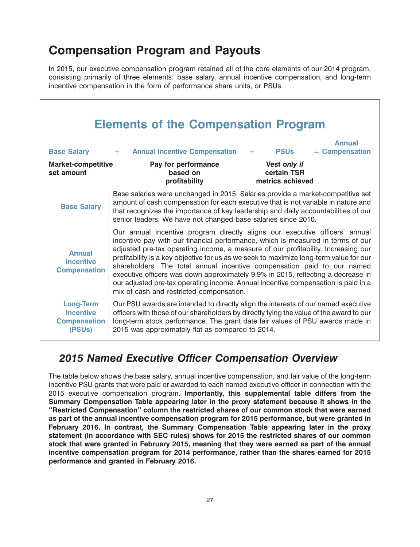# **Compensation Program and Payouts**

In 2015, our executive compensation program retained all of the core elements of our 2014 program, consisting primarily of three elements: base salary, annual incentive compensation, and long-term incentive compensation in the form of performance share units, or PSUs.

|                                                                       | <b>Elements of the Compensation Program</b>                                                                                                                                                                                                                                                                                                                                                                                                                                                                                                                                                                                                   |
|-----------------------------------------------------------------------|-----------------------------------------------------------------------------------------------------------------------------------------------------------------------------------------------------------------------------------------------------------------------------------------------------------------------------------------------------------------------------------------------------------------------------------------------------------------------------------------------------------------------------------------------------------------------------------------------------------------------------------------------|
| <b>Base Salary</b>                                                    | <b>Annual</b><br><b>Annual Incentive Compensation</b><br>$=$ Compensation<br><b>PSUs</b><br>$\sim$ $+$ $-$<br>$+$                                                                                                                                                                                                                                                                                                                                                                                                                                                                                                                             |
| <b>Market-competitive</b><br>set amount                               | Vest only if<br>Pay for performance<br>based on<br>certain TSR<br>profitability<br>metrics achieved                                                                                                                                                                                                                                                                                                                                                                                                                                                                                                                                           |
| <b>Base Salary</b>                                                    | Base salaries were unchanged in 2015. Salaries provide a market-competitive set<br>amount of cash compensation for each executive that is not variable in nature and<br>that recognizes the importance of key leadership and daily accountabilities of our<br>senior leaders. We have not changed base salaries since 2010.                                                                                                                                                                                                                                                                                                                   |
| <b>Annual</b><br><b>Incentive</b><br><b>Compensation</b>              | Our annual incentive program directly aligns our executive officers' annual<br>incentive pay with our financial performance, which is measured in terms of our<br>adjusted pre-tax operating income, a measure of our profitability. Increasing our<br>profitability is a key objective for us as we seek to maximize long-term value for our<br>shareholders. The total annual incentive compensation paid to our named<br>executive officers was down approximately 9.9% in 2015, reflecting a decrease in<br>our adjusted pre-tax operating income. Annual incentive compensation is paid in a<br>mix of cash and restricted compensation. |
| <b>Long-Term</b><br><b>Incentive</b><br><b>Compensation</b><br>(PSUs) | Our PSU awards are intended to directly align the interests of our named executive<br>officers with those of our shareholders by directly tying the value of the award to our<br>long-term stock performance. The grant date fair values of PSU awards made in<br>2015 was approximately flat as compared to 2014.                                                                                                                                                                                                                                                                                                                            |

#### *2015 Named Executive Officer Compensation Overview*

The table below shows the base salary, annual incentive compensation, and fair value of the long-term incentive PSU grants that were paid or awarded to each named executive officer in connection with the 2015 executive compensation program. **Importantly, this supplemental table differs from the Summary Compensation Table appearing later in the proxy statement because it shows in the ''Restricted Compensation'' column the restricted shares of our common stock that were earned as part of the annual incentive compensation program for 2015 performance, but were granted in February 2016. In contrast, the Summary Compensation Table appearing later in the proxy statement (in accordance with SEC rules) shows for 2015 the restricted shares of our common stock that were granted in February 2015, meaning that they were earned as part of the annual incentive compensation program for 2014 performance, rather than the shares earned for 2015 performance and granted in February 2016.**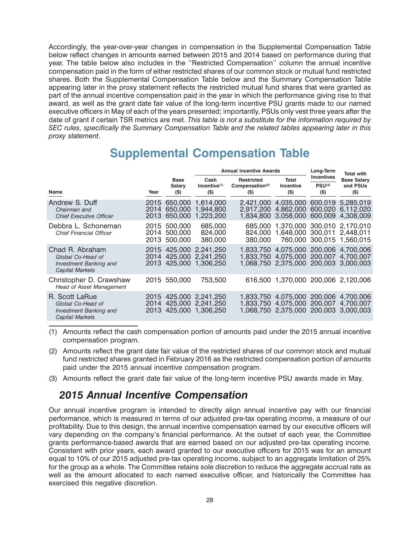Accordingly, the year-over-year changes in compensation in the Supplemental Compensation Table below reflect changes in amounts earned between 2015 and 2014 based on performance during that year. The table below also includes in the ''Restricted Compensation'' column the annual incentive compensation paid in the form of either restricted shares of our common stock or mutual fund restricted shares. Both the Supplemental Compensation Table below and the Summary Compensation Table appearing later in the proxy statement reflects the restricted mutual fund shares that were granted as part of the annual incentive compensation paid in the year in which the performance giving rise to that award, as well as the grant date fair value of the long-term incentive PSU grants made to our named executive officers in May of each of the years presented; importantly, PSUs only vest three years after the date of grant if certain TSR metrics are met. *This table is not a substitute for the information required by SEC rules, specifically the Summary Compensation Table and the related tables appearing later in this proxy statement*.

### **Supplemental Compensation Table**

|                                                                                                 |                      |                                              | <b>Annual Incentive Awards</b>              | Long-Term                                                   | <b>Total with</b>                                                       |                                                    |                                           |
|-------------------------------------------------------------------------------------------------|----------------------|----------------------------------------------|---------------------------------------------|-------------------------------------------------------------|-------------------------------------------------------------------------|----------------------------------------------------|-------------------------------------------|
| Name                                                                                            | Year                 | <b>Base</b><br>Salary<br>$($ \$              | Cash<br>Incentive <sup>(1)</sup><br>$($ \$) | <b>Restricted</b><br>Compensation <sup>(2)</sup><br>$($ \$) | Total<br>Incentive<br>$($)$                                             | <b>Incentives</b><br>PSU <sup>(3)</sup><br>$($ \$) | <b>Base Salary</b><br>and PSUs<br>$($ \$) |
| Andrew S. Duff<br>Chairman and<br><b>Chief Executive Officer</b>                                | 2015<br>2014<br>2013 | 650,000<br>650,000<br>650,000                | 1.614.000<br>1.944.800<br>1,223,200         | 2.421,000<br>2.917.200<br>1.834.800                         | 4.035.000<br>4,862,000<br>3,058,000                                     | 600,019<br>600,020<br>600,009                      | 5.285.019<br>6.112.020<br>4.308.009       |
| Debbra L. Schoneman<br><b>Chief Financial Officer</b>                                           | 2014                 | 2015 500,000<br>500,000<br>2013 500,000      | 685,000<br>824.000<br>380,000               | 685.000<br>824.000<br>380,000                               | 1,370,000 300,010 2,170,010<br>1,648,000                                | 300,011                                            | 2.448.011<br>760,000 300,015 1,560,015    |
| Chad R. Abraham<br>Global Co-Head of<br><b>Investment Banking and</b><br><b>Capital Markets</b> |                      | 2015 425,000<br>2014 425,000<br>2013 425,000 | 2.241.250<br>2.241.250<br>1.306.250         | 1.833.750<br>1.833.750                                      | 4,075,000 200,006<br>4,075,000<br>1,068,750 2,375,000 200,003 3,000,003 | 200,007                                            | 4.700.006<br>4.700.007                    |
| Christopher D. Crawshaw<br><b>Head of Asset Management</b>                                      |                      | 2015 550,000                                 | 753,500                                     | 616.500                                                     | 1,370,000 200,006 2,120,006                                             |                                                    |                                           |
| R. Scott LaRue<br>Global Co-Head of<br><b>Investment Banking and</b><br><b>Capital Markets</b>  | 2015<br>2014<br>2013 | 425,000<br>425,000<br>425,000                | 2,241,250<br>2,241,250<br>1.306.250         | 1.833.750<br>1.833.750                                      | 4,075,000<br>4,075,000<br>1,068,750 2,375,000                           | 200,006<br>200,007<br>200,003                      | 4.700.006<br>4.700.007<br>3.000.003       |

- (1) Amounts reflect the cash compensation portion of amounts paid under the 2015 annual incentive compensation program.
- (2) Amounts reflect the grant date fair value of the restricted shares of our common stock and mutual fund restricted shares granted in February 2016 as the restricted compensation portion of amounts paid under the 2015 annual incentive compensation program.
- (3) Amounts reflect the grant date fair value of the long-term incentive PSU awards made in May.

#### *2015 Annual Incentive Compensation*

Our annual incentive program is intended to directly align annual incentive pay with our financial performance, which is measured in terms of our adjusted pre-tax operating income, a measure of our profitability. Due to this design, the annual incentive compensation earned by our executive officers will vary depending on the company's financial performance. At the outset of each year, the Committee grants performance-based awards that are earned based on our adjusted pre-tax operating income. Consistent with prior years, each award granted to our executive officers for 2015 was for an amount equal to 10% of our 2015 adjusted pre-tax operating income, subject to an aggregate limitation of 25% for the group as a whole. The Committee retains sole discretion to reduce the aggregate accrual rate as well as the amount allocated to each named executive officer, and historically the Committee has exercised this negative discretion.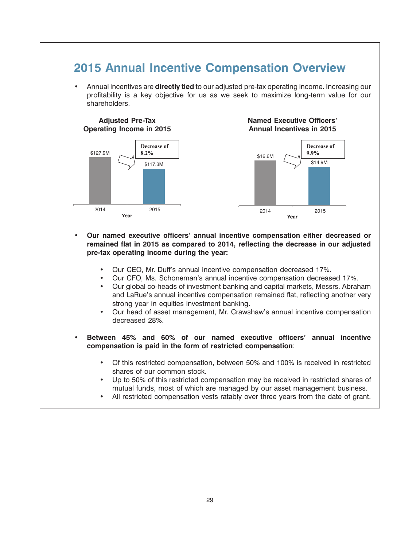#### **2015 Annual Incentive Compensation Overview**

• Annual incentives are **directly tied** to our adjusted pre-tax operating income. Increasing our profitability is a key objective for us as we seek to maximize long-term value for our shareholders.



- **Our named executive officers' annual incentive compensation either decreased or remained flat in 2015 as compared to 2014, reflecting the decrease in our adjusted pre-tax operating income during the year:**
	- Our CEO, Mr. Duff's annual incentive compensation decreased 17%.
	- Our CFO, Ms. Schoneman's annual incentive compensation decreased 17%.
	- Our global co-heads of investment banking and capital markets, Messrs. Abraham and LaRue's annual incentive compensation remained flat, reflecting another very strong year in equities investment banking.
	- Our head of asset management, Mr. Crawshaw's annual incentive compensation decreased 28%.
- **Between 45% and 60% of our named executive officers' annual incentive compensation is paid in the form of restricted compensation**:
	- Of this restricted compensation, between 50% and 100% is received in restricted shares of our common stock.
	- Up to 50% of this restricted compensation may be received in restricted shares of mutual funds, most of which are managed by our asset management business.
	- All restricted compensation vests ratably over three years from the date of grant.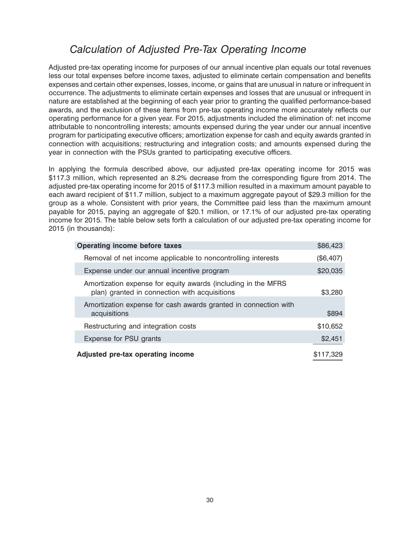### *Calculation of Adjusted Pre-Tax Operating Income*

Adjusted pre-tax operating income for purposes of our annual incentive plan equals our total revenues less our total expenses before income taxes, adjusted to eliminate certain compensation and benefits expenses and certain other expenses, losses, income, or gains that are unusual in nature or infrequent in occurrence. The adjustments to eliminate certain expenses and losses that are unusual or infrequent in nature are established at the beginning of each year prior to granting the qualified performance-based awards, and the exclusion of these items from pre-tax operating income more accurately reflects our operating performance for a given year. For 2015, adjustments included the elimination of: net income attributable to noncontrolling interests; amounts expensed during the year under our annual incentive program for participating executive officers; amortization expense for cash and equity awards granted in connection with acquisitions; restructuring and integration costs; and amounts expensed during the year in connection with the PSUs granted to participating executive officers.

In applying the formula described above, our adjusted pre-tax operating income for 2015 was \$117.3 million, which represented an 8.2% decrease from the corresponding figure from 2014. The adjusted pre-tax operating income for 2015 of \$117.3 million resulted in a maximum amount payable to each award recipient of \$11.7 million, subject to a maximum aggregate payout of \$29.3 million for the group as a whole. Consistent with prior years, the Committee paid less than the maximum amount payable for 2015, paying an aggregate of \$20.1 million, or 17.1% of our adjusted pre-tax operating income for 2015. The table below sets forth a calculation of our adjusted pre-tax operating income for 2015 (in thousands):

| <b>Operating income before taxes</b>                                                                           | \$86,423  |
|----------------------------------------------------------------------------------------------------------------|-----------|
| Removal of net income applicable to noncontrolling interests                                                   | (\$6,407) |
| Expense under our annual incentive program                                                                     | \$20,035  |
| Amortization expense for equity awards (including in the MFRS<br>plan) granted in connection with acquisitions | \$3,280   |
| Amortization expense for cash awards granted in connection with<br>acquisitions                                | \$894     |
| Restructuring and integration costs                                                                            | \$10,652  |
| Expense for PSU grants                                                                                         | \$2,451   |
| Adjusted pre-tax operating income                                                                              | \$117,329 |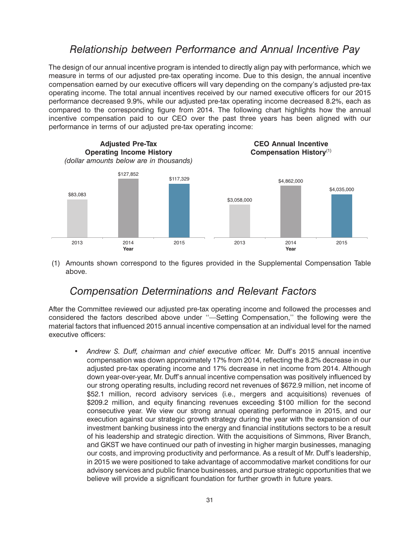#### *Relationship between Performance and Annual Incentive Pay*

The design of our annual incentive program is intended to directly align pay with performance, which we measure in terms of our adjusted pre-tax operating income. Due to this design, the annual incentive compensation earned by our executive officers will vary depending on the company's adjusted pre-tax operating income. The total annual incentives received by our named executive officers for our 2015 performance decreased 9.9%, while our adjusted pre-tax operating income decreased 8.2%, each as compared to the corresponding figure from 2014. The following chart highlights how the annual incentive compensation paid to our CEO over the past three years has been aligned with our performance in terms of our adjusted pre-tax operating income:



(1) Amounts shown correspond to the figures provided in the Supplemental Compensation Table above.

#### *Compensation Determinations and Relevant Factors*

After the Committee reviewed our adjusted pre-tax operating income and followed the processes and considered the factors described above under ''—Setting Compensation,'' the following were the material factors that influenced 2015 annual incentive compensation at an individual level for the named executive officers:

• *Andrew S. Duff, chairman and chief executive officer.* Mr. Duff's 2015 annual incentive compensation was down approximately 17% from 2014, reflecting the 8.2% decrease in our adjusted pre-tax operating income and 17% decrease in net income from 2014. Although down year-over-year, Mr. Duff's annual incentive compensation was positively influenced by our strong operating results, including record net revenues of \$672.9 million, net income of \$52.1 million, record advisory services (i.e., mergers and acquisitions) revenues of \$209.2 million, and equity financing revenues exceeding \$100 million for the second consecutive year. We view our strong annual operating performance in 2015, and our execution against our strategic growth strategy during the year with the expansion of our investment banking business into the energy and financial institutions sectors to be a result of his leadership and strategic direction. With the acquisitions of Simmons, River Branch, and GKST we have continued our path of investing in higher margin businesses, managing our costs, and improving productivity and performance. As a result of Mr. Duff's leadership, in 2015 we were positioned to take advantage of accommodative market conditions for our advisory services and public finance businesses, and pursue strategic opportunities that we believe will provide a significant foundation for further growth in future years.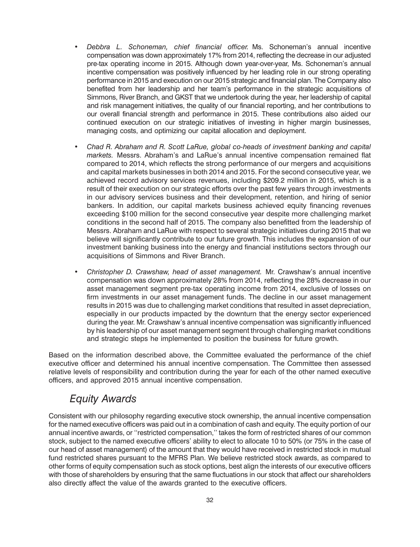- *Debbra L. Schoneman, chief financial officer.* Ms. Schoneman's annual incentive compensation was down approximately 17% from 2014, reflecting the decrease in our adjusted pre-tax operating income in 2015. Although down year-over-year, Ms. Schoneman's annual incentive compensation was positively influenced by her leading role in our strong operating performance in 2015 and execution on our 2015 strategic and financial plan. The Company also benefited from her leadership and her team's performance in the strategic acquisitions of Simmons, River Branch, and GKST that we undertook during the year, her leadership of capital and risk management initiatives, the quality of our financial reporting, and her contributions to our overall financial strength and performance in 2015. These contributions also aided our continued execution on our strategic initiatives of investing in higher margin businesses, managing costs, and optimizing our capital allocation and deployment.
- *Chad R. Abraham and R. Scott LaRue, global co-heads of investment banking and capital markets.* Messrs. Abraham's and LaRue's annual incentive compensation remained flat compared to 2014, which reflects the strong performance of our mergers and acquisitions and capital markets businesses in both 2014 and 2015. For the second consecutive year, we achieved record advisory services revenues, including \$209.2 million in 2015, which is a result of their execution on our strategic efforts over the past few years through investments in our advisory services business and their development, retention, and hiring of senior bankers. In addition, our capital markets business achieved equity financing revenues exceeding \$100 million for the second consecutive year despite more challenging market conditions in the second half of 2015. The company also benefitted from the leadership of Messrs. Abraham and LaRue with respect to several strategic initiatives during 2015 that we believe will significantly contribute to our future growth. This includes the expansion of our investment banking business into the energy and financial institutions sectors through our acquisitions of Simmons and River Branch.
- *Christopher D. Crawshaw, head of asset management.* Mr. Crawshaw's annual incentive compensation was down approximately 28% from 2014, reflecting the 28% decrease in our asset management segment pre-tax operating income from 2014, exclusive of losses on firm investments in our asset management funds. The decline in our asset management results in 2015 was due to challenging market conditions that resulted in asset depreciation, especially in our products impacted by the downturn that the energy sector experienced during the year. Mr. Crawshaw's annual incentive compensation was significantly influenced by his leadership of our asset management segment through challenging market conditions and strategic steps he implemented to position the business for future growth.

Based on the information described above, the Committee evaluated the performance of the chief executive officer and determined his annual incentive compensation. The Committee then assessed relative levels of responsibility and contribution during the year for each of the other named executive officers, and approved 2015 annual incentive compensation.

#### *Equity Awards*

Consistent with our philosophy regarding executive stock ownership, the annual incentive compensation for the named executive officers was paid out in a combination of cash and equity. The equity portion of our annual incentive awards, or ''restricted compensation,'' takes the form of restricted shares of our common stock, subject to the named executive officers' ability to elect to allocate 10 to 50% (or 75% in the case of our head of asset management) of the amount that they would have received in restricted stock in mutual fund restricted shares pursuant to the MFRS Plan. We believe restricted stock awards, as compared to other forms of equity compensation such as stock options, best align the interests of our executive officers with those of shareholders by ensuring that the same fluctuations in our stock that affect our shareholders also directly affect the value of the awards granted to the executive officers.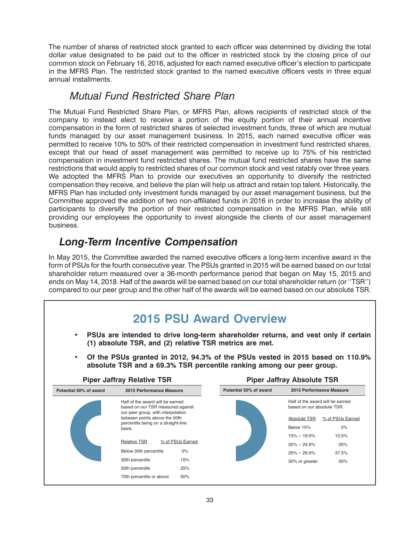The number of shares of restricted stock granted to each officer was determined by dividing the total dollar value designated to be paid out to the officer in restricted stock by the closing price of our common stock on February 16, 2016, adjusted for each named executive officer's election to participate in the MFRS Plan. The restricted stock granted to the named executive officers vests in three equal annual installments.

#### *Mutual Fund Restricted Share Plan*

The Mutual Fund Restricted Share Plan, or MFRS Plan, allows recipients of restricted stock of the company to instead elect to receive a portion of the equity portion of their annual incentive compensation in the form of restricted shares of selected investment funds, three of which are mutual funds managed by our asset management business. In 2015, each named executive officer was permitted to receive 10% to 50% of their restricted compensation in investment fund restricted shares, except that our head of asset management was permitted to receive up to 75% of his restricted compensation in investment fund restricted shares. The mutual fund restricted shares have the same restrictions that would apply to restricted shares of our common stock and vest ratably over three years. We adopted the MFRS Plan to provide our executives an opportunity to diversify the restricted compensation they receive, and believe the plan will help us attract and retain top talent. Historically, the MFRS Plan has included only investment funds managed by our asset management business, but the Committee approved the addition of two non-affiliated funds in 2016 in order to increase the ability of participants to diversify the portion of their restricted compensation in the MFRS Plan, while still providing our employees the opportunity to invest alongside the clients of our asset management business.

# *Long-Term Incentive Compensation*

In May 2015, the Committee awarded the named executive officers a long-term incentive award in the form of PSUs for the fourth consecutive year. The PSUs granted in 2015 will be earned based on our total shareholder return measured over a 36-month performance period that began on May 15, 2015 and ends on May 14, 2018. Half of the awards will be earned based on our total shareholder return (or ''TSR'') compared to our peer group and the other half of the awards will be earned based on our absolute TSR.

#### **17MAR201615373046 17MAR201615373814** • **PSUs are intended to drive long-term shareholder returns, and vest only if certain (1) absolute TSR, and (2) relative TSR metrics are met.** • **Of the PSUs granted in 2012, 94.3% of the PSUs vested in 2015 based on 110.9% absolute TSR and a 69.3% TSR percentile ranking among our peer group. Piper Jaffray Relative TSR THE READY PIPER JAFFRAY Absolute TSR 2015 Performance Measure** Half of the award will be earned based on our absolute TSR. Absolute TSR % of PSUs Earned Below 15% 0% 15% -- 19.9% 12.5% 20% -- 24.9% 25% 25% -- 29.9% 37.5% 30% or greater 50% **Potential 50% of award** Relative TSR % of PSUs Earned **Potential 50% of award 2015 Performance Measure** Half of the award will be earned based on our TSR measured against our peer group, with interpolation between points above the 50th percentile being on a straight-line basis. Below 30th percentile 0% 15% 25% 50% 30th percentile 50th percentile 70th percentile or above **2015 PSU Award Overview**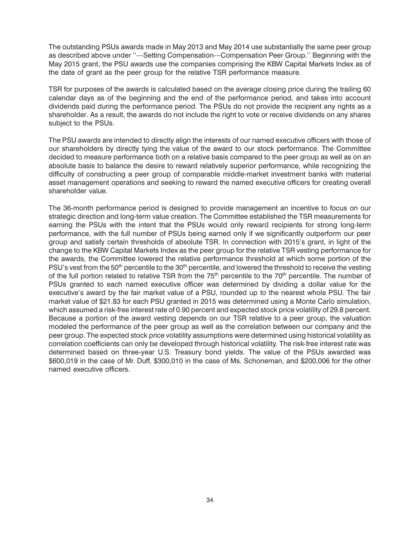The outstanding PSUs awards made in May 2013 and May 2014 use substantially the same peer group as described above under ''—Setting Compensation—Compensation Peer Group.'' Beginning with the May 2015 grant, the PSU awards use the companies comprising the KBW Capital Markets Index as of the date of grant as the peer group for the relative TSR performance measure.

TSR for purposes of the awards is calculated based on the average closing price during the trailing 60 calendar days as of the beginning and the end of the performance period, and takes into account dividends paid during the performance period. The PSUs do not provide the recipient any rights as a shareholder. As a result, the awards do not include the right to vote or receive dividends on any shares subject to the PSUs.

The PSU awards are intended to directly align the interests of our named executive officers with those of our shareholders by directly tying the value of the award to our stock performance. The Committee decided to measure performance both on a relative basis compared to the peer group as well as on an absolute basis to balance the desire to reward relatively superior performance, while recognizing the difficulty of constructing a peer group of comparable middle-market investment banks with material asset management operations and seeking to reward the named executive officers for creating overall shareholder value.

The 36-month performance period is designed to provide management an incentive to focus on our strategic direction and long-term value creation. The Committee established the TSR measurements for earning the PSUs with the intent that the PSUs would only reward recipients for strong long-term performance, with the full number of PSUs being earned only if we significantly outperform our peer group and satisfy certain thresholds of absolute TSR. In connection with 2015's grant, in light of the change to the KBW Capital Markets Index as the peer group for the relative TSR vesting performance for the awards, the Committee lowered the relative performance threshold at which some portion of the PSU's vest from the 50<sup>th</sup> percentile to the 30<sup>th</sup> percentile, and lowered the threshold to receive the vesting of the full portion related to relative TSR from the  $75<sup>th</sup>$  percentile to the  $70<sup>th</sup>$  percentile. The number of PSUs granted to each named executive officer was determined by dividing a dollar value for the executive's award by the fair market value of a PSU, rounded up to the nearest whole PSU. The fair market value of \$21.83 for each PSU granted in 2015 was determined using a Monte Carlo simulation, which assumed a risk-free interest rate of 0.90 percent and expected stock price volatility of 29.8 percent. Because a portion of the award vesting depends on our TSR relative to a peer group, the valuation modeled the performance of the peer group as well as the correlation between our company and the peer group. The expected stock price volatility assumptions were determined using historical volatility as correlation coefficients can only be developed through historical volatility. The risk-free interest rate was determined based on three-year U.S. Treasury bond yields. The value of the PSUs awarded was \$600,019 in the case of Mr. Duff, \$300,010 in the case of Ms. Schoneman, and \$200,006 for the other named executive officers.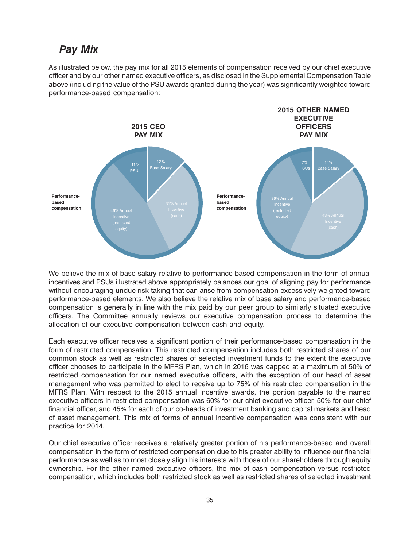#### *Pay Mix*

As illustrated below, the pay mix for all 2015 elements of compensation received by our chief executive officer and by our other named executive officers, as disclosed in the Supplemental Compensation Table above (including the value of the PSU awards granted during the year) was significantly weighted toward performance-based compensation:



We believe the mix of base salary relative to performance-based compensation in the form of annual incentives and PSUs illustrated above appropriately balances our goal of aligning pay for performance without encouraging undue risk taking that can arise from compensation excessively weighted toward performance-based elements. We also believe the relative mix of base salary and performance-based compensation is generally in line with the mix paid by our peer group to similarly situated executive officers. The Committee annually reviews our executive compensation process to determine the allocation of our executive compensation between cash and equity.

Each executive officer receives a significant portion of their performance-based compensation in the form of restricted compensation. This restricted compensation includes both restricted shares of our common stock as well as restricted shares of selected investment funds to the extent the executive officer chooses to participate in the MFRS Plan, which in 2016 was capped at a maximum of 50% of restricted compensation for our named executive officers, with the exception of our head of asset management who was permitted to elect to receive up to 75% of his restricted compensation in the MFRS Plan. With respect to the 2015 annual incentive awards, the portion payable to the named executive officers in restricted compensation was 60% for our chief executive officer, 50% for our chief financial officer, and 45% for each of our co-heads of investment banking and capital markets and head of asset management. This mix of forms of annual incentive compensation was consistent with our practice for 2014.

Our chief executive officer receives a relatively greater portion of his performance-based and overall compensation in the form of restricted compensation due to his greater ability to influence our financial performance as well as to most closely align his interests with those of our shareholders through equity ownership. For the other named executive officers, the mix of cash compensation versus restricted compensation, which includes both restricted stock as well as restricted shares of selected investment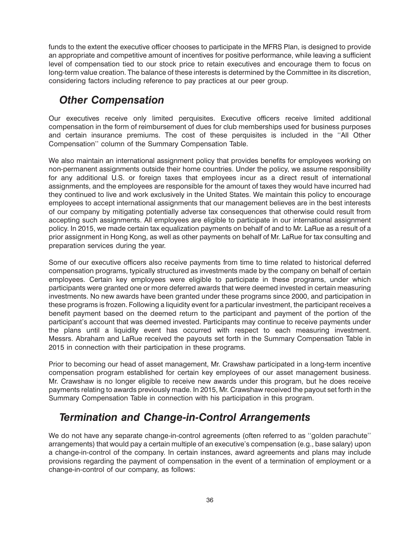funds to the extent the executive officer chooses to participate in the MFRS Plan, is designed to provide an appropriate and competitive amount of incentives for positive performance, while leaving a sufficient level of compensation tied to our stock price to retain executives and encourage them to focus on long-term value creation. The balance of these interests is determined by the Committee in its discretion, considering factors including reference to pay practices at our peer group.

### *Other Compensation*

Our executives receive only limited perquisites. Executive officers receive limited additional compensation in the form of reimbursement of dues for club memberships used for business purposes and certain insurance premiums. The cost of these perquisites is included in the ''All Other Compensation'' column of the Summary Compensation Table.

We also maintain an international assignment policy that provides benefits for employees working on non-permanent assignments outside their home countries. Under the policy, we assume responsibility for any additional U.S. or foreign taxes that employees incur as a direct result of international assignments, and the employees are responsible for the amount of taxes they would have incurred had they continued to live and work exclusively in the United States. We maintain this policy to encourage employees to accept international assignments that our management believes are in the best interests of our company by mitigating potentially adverse tax consequences that otherwise could result from accepting such assignments. All employees are eligible to participate in our international assignment policy. In 2015, we made certain tax equalization payments on behalf of and to Mr. LaRue as a result of a prior assignment in Hong Kong, as well as other payments on behalf of Mr. LaRue for tax consulting and preparation services during the year.

Some of our executive officers also receive payments from time to time related to historical deferred compensation programs, typically structured as investments made by the company on behalf of certain employees. Certain key employees were eligible to participate in these programs, under which participants were granted one or more deferred awards that were deemed invested in certain measuring investments. No new awards have been granted under these programs since 2000, and participation in these programs is frozen. Following a liquidity event for a particular investment, the participant receives a benefit payment based on the deemed return to the participant and payment of the portion of the participant's account that was deemed invested. Participants may continue to receive payments under the plans until a liquidity event has occurred with respect to each measuring investment. Messrs. Abraham and LaRue received the payouts set forth in the Summary Compensation Table in 2015 in connection with their participation in these programs.

Prior to becoming our head of asset management, Mr. Crawshaw participated in a long-term incentive compensation program established for certain key employees of our asset management business. Mr. Crawshaw is no longer eligible to receive new awards under this program, but he does receive payments relating to awards previously made. In 2015, Mr. Crawshaw received the payout set forth in the Summary Compensation Table in connection with his participation in this program.

### *Termination and Change-in-Control Arrangements*

We do not have any separate change-in-control agreements (often referred to as ''golden parachute'' arrangements) that would pay a certain multiple of an executive's compensation (e.g., base salary) upon a change-in-control of the company. In certain instances, award agreements and plans may include provisions regarding the payment of compensation in the event of a termination of employment or a change-in-control of our company, as follows: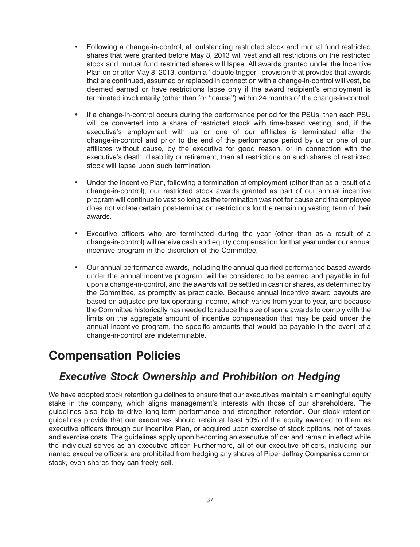- Following a change-in-control, all outstanding restricted stock and mutual fund restricted shares that were granted before May 8, 2013 will vest and all restrictions on the restricted stock and mutual fund restricted shares will lapse. All awards granted under the Incentive Plan on or after May 8, 2013, contain a ''double trigger'' provision that provides that awards that are continued, assumed or replaced in connection with a change-in-control will vest, be deemed earned or have restrictions lapse only if the award recipient's employment is terminated involuntarily (other than for ''cause'') within 24 months of the change-in-control.
- If a change-in-control occurs during the performance period for the PSUs, then each PSU will be converted into a share of restricted stock with time-based vesting, and, if the executive's employment with us or one of our affiliates is terminated after the change-in-control and prior to the end of the performance period by us or one of our affiliates without cause, by the executive for good reason, or in connection with the executive's death, disability or retirement, then all restrictions on such shares of restricted stock will lapse upon such termination.
- Under the Incentive Plan, following a termination of employment (other than as a result of a change-in-control), our restricted stock awards granted as part of our annual incentive program will continue to vest so long as the termination was not for cause and the employee does not violate certain post-termination restrictions for the remaining vesting term of their awards.
- Executive officers who are terminated during the year (other than as a result of a change-in-control) will receive cash and equity compensation for that year under our annual incentive program in the discretion of the Committee.
- Our annual performance awards, including the annual qualified performance-based awards under the annual incentive program, will be considered to be earned and payable in full upon a change-in-control, and the awards will be settled in cash or shares, as determined by the Committee, as promptly as practicable. Because annual incentive award payouts are based on adjusted pre-tax operating income, which varies from year to year, and because the Committee historically has needed to reduce the size of some awards to comply with the limits on the aggregate amount of incentive compensation that may be paid under the annual incentive program, the specific amounts that would be payable in the event of a change-in-control are indeterminable.

### **Compensation Policies**

#### *Executive Stock Ownership and Prohibition on Hedging*

We have adopted stock retention guidelines to ensure that our executives maintain a meaningful equity stake in the company, which aligns management's interests with those of our shareholders. The guidelines also help to drive long-term performance and strengthen retention. Our stock retention guidelines provide that our executives should retain at least 50% of the equity awarded to them as executive officers through our Incentive Plan, or acquired upon exercise of stock options, net of taxes and exercise costs. The guidelines apply upon becoming an executive officer and remain in effect while the individual serves as an executive officer. Furthermore, all of our executive officers, including our named executive officers, are prohibited from hedging any shares of Piper Jaffray Companies common stock, even shares they can freely sell.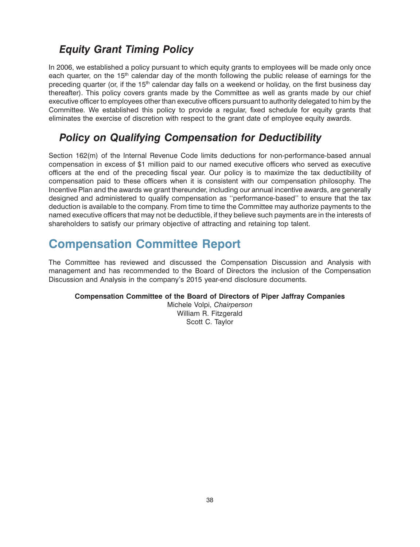### <span id="page-40-0"></span>*Equity Grant Timing Policy*

In 2006, we established a policy pursuant to which equity grants to employees will be made only once each quarter, on the 15<sup>th</sup> calendar day of the month following the public release of earnings for the preceding quarter (or, if the 15<sup>th</sup> calendar day falls on a weekend or holiday, on the first business day thereafter). This policy covers grants made by the Committee as well as grants made by our chief executive officer to employees other than executive officers pursuant to authority delegated to him by the Committee. We established this policy to provide a regular, fixed schedule for equity grants that eliminates the exercise of discretion with respect to the grant date of employee equity awards.

#### *Policy on Qualifying Compensation for Deductibility*

Section 162(m) of the Internal Revenue Code limits deductions for non-performance-based annual compensation in excess of \$1 million paid to our named executive officers who served as executive officers at the end of the preceding fiscal year. Our policy is to maximize the tax deductibility of compensation paid to these officers when it is consistent with our compensation philosophy. The Incentive Plan and the awards we grant thereunder, including our annual incentive awards, are generally designed and administered to qualify compensation as ''performance-based'' to ensure that the tax deduction is available to the company. From time to time the Committee may authorize payments to the named executive officers that may not be deductible, if they believe such payments are in the interests of shareholders to satisfy our primary objective of attracting and retaining top talent.

# **Compensation Committee Report**

The Committee has reviewed and discussed the Compensation Discussion and Analysis with management and has recommended to the Board of Directors the inclusion of the Compensation Discussion and Analysis in the company's 2015 year-end disclosure documents.

#### **Compensation Committee of the Board of Directors of Piper Jaffray Companies**

Michele Volpi, *Chairperson* William R. Fitzgerald Scott C. Taylor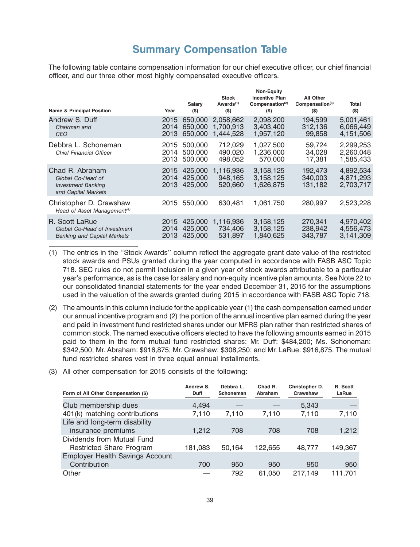#### **Summary Compensation Table**

<span id="page-41-0"></span>The following table contains compensation information for our chief executive officer, our chief financial officer, and our three other most highly compensated executive officers.

| <b>Name &amp; Principal Position</b>                                                     | Year                 | Salary<br>$($ \$)             | <b>Stock</b><br>Awards <sup>(1)</sup><br>$($ \$) | <b>Non-Equity</b><br><b>Incentive Plan</b><br>Compensation $(2)$<br>$($ \$) | All Other<br>Compensation <sup>(3)</sup><br>$($ \$ | Total<br>$($ \$)                    |
|------------------------------------------------------------------------------------------|----------------------|-------------------------------|--------------------------------------------------|-----------------------------------------------------------------------------|----------------------------------------------------|-------------------------------------|
| Andrew S. Duff<br>Chairman and<br><b>CEO</b>                                             | 2015<br>2014<br>2013 | 650,000<br>650,000<br>650,000 | 2,058,662<br>1.700.913<br>1,444,528              | 2,098,200<br>3.403.400<br>1,957,120                                         | 194,599<br>312,136<br>99,858                       | 5,001,461<br>6,066,449<br>4,151,506 |
| Debbra L. Schoneman<br><b>Chief Financial Officer</b>                                    | 2015<br>2014<br>2013 | 500,000<br>500,000<br>500,000 | 712,029<br>490,020<br>498,052                    | 1,027,500<br>1,236,000<br>570.000                                           | 59,724<br>34,028<br>17,381                         | 2,299,253<br>2,260,048<br>1,585,433 |
| Chad R. Abraham<br>Global Co-Head of<br><b>Investment Banking</b><br>and Capital Markets | 2015<br>2014<br>2013 | 425,000<br>425,000<br>425,000 | 1.116.936<br>948,165<br>520,660                  | 3,158,125<br>3,158,125<br>1,626,875                                         | 192.473<br>340,003<br>131,182                      | 4,892,534<br>4,871,293<br>2,703,717 |
| Christopher D. Crawshaw<br>Head of Asset Management <sup>(4)</sup>                       | 2015                 | 550,000                       | 630.481                                          | 1,061,750                                                                   | 280.997                                            | 2,523,228                           |
| R. Scott LaRue<br>Global Co-Head of Investment<br><b>Banking and Capital Markets</b>     | 2015<br>2014<br>2013 | 425,000<br>425,000<br>425,000 | 1,116,936<br>734,406<br>531,897                  | 3,158,125<br>3,158,125<br>1.840.625                                         | 270.341<br>238,942<br>343.787                      | 4,970,402<br>4,556,473<br>3.141.309 |

- (1) The entries in the ''Stock Awards'' column reflect the aggregate grant date value of the restricted stock awards and PSUs granted during the year computed in accordance with FASB ASC Topic 718. SEC rules do not permit inclusion in a given year of stock awards attributable to a particular year's performance, as is the case for salary and non-equity incentive plan amounts. See Note 22 to our consolidated financial statements for the year ended December 31, 2015 for the assumptions used in the valuation of the awards granted during 2015 in accordance with FASB ASC Topic 718.
- (2) The amounts in this column include for the applicable year (1) the cash compensation earned under our annual incentive program and (2) the portion of the annual incentive plan earned during the year and paid in investment fund restricted shares under our MFRS plan rather than restricted shares of common stock. The named executive officers elected to have the following amounts earned in 2015 paid to them in the form mutual fund restricted shares: Mr. Duff: \$484,200; Ms. Schoneman: \$342,500; Mr. Abraham: \$916,875; Mr. Crawshaw: \$308,250; and Mr. LaRue: \$916,875. The mutual fund restricted shares vest in three equal annual installments.
- (3) All other compensation for 2015 consists of the following:

| Form of All Other Compensation (\$)    | Andrew S.<br><b>Duff</b> | Debbra L.<br>Schoneman | Chad R.<br>Abraham | Christopher D.<br>Crawshaw | R. Scott<br>LaRue |
|----------------------------------------|--------------------------|------------------------|--------------------|----------------------------|-------------------|
| Club membership dues                   | 4,494                    |                        |                    | 5,343                      |                   |
| 401(k) matching contributions          | 7.110                    | 7.110                  | 7,110              | 7.110                      | 7,110             |
| Life and long-term disability          |                          |                        |                    |                            |                   |
| insurance premiums                     | 1.212                    | 708                    | 708                | 708                        | 1,212             |
| Dividends from Mutual Fund             |                          |                        |                    |                            |                   |
| <b>Restricted Share Program</b>        | 181,083                  | 50,164                 | 122.655            | 48.777                     | 149,367           |
| <b>Employer Health Savings Account</b> |                          |                        |                    |                            |                   |
| Contribution                           | 700                      | 950                    | 950                | 950                        | 950               |
| Other                                  |                          | 792                    | 61.050             | 217.149                    | 111.701           |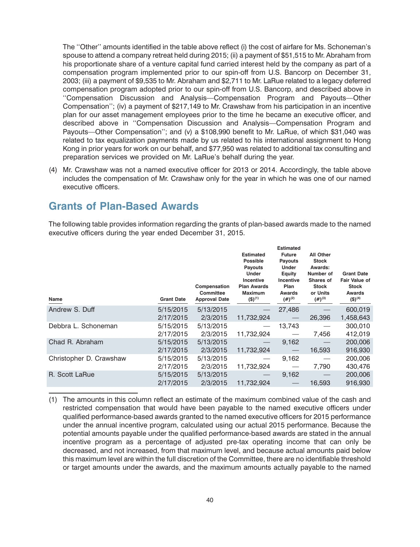<span id="page-42-0"></span>The ''Other'' amounts identified in the table above reflect (i) the cost of airfare for Ms. Schoneman's spouse to attend a company retreat held during 2015; (ii) a payment of \$51,515 to Mr. Abraham from his proportionate share of a venture capital fund carried interest held by the company as part of a compensation program implemented prior to our spin-off from U.S. Bancorp on December 31, 2003; (iii) a payment of \$9,535 to Mr. Abraham and \$2,711 to Mr. LaRue related to a legacy deferred compensation program adopted prior to our spin-off from U.S. Bancorp, and described above in ''Compensation Discussion and Analysis—Compensation Program and Payouts—Other Compensation''; (iv) a payment of \$217,149 to Mr. Crawshaw from his participation in an incentive plan for our asset management employees prior to the time he became an executive officer, and described above in ''Compensation Discussion and Analysis—Compensation Program and Payouts—Other Compensation''; and (v) a \$108,990 benefit to Mr. LaRue, of which \$31,040 was related to tax equalization payments made by us related to his international assignment to Hong Kong in prior years for work on our behalf, and \$77,950 was related to additional tax consulting and preparation services we provided on Mr. LaRue's behalf during the year.

(4) Mr. Crawshaw was not a named executive officer for 2013 or 2014. Accordingly, the table above includes the compensation of Mr. Crawshaw only for the year in which he was one of our named executive officers.

#### **Grants of Plan-Based Awards**

The following table provides information regarding the grants of plan-based awards made to the named executive officers during the year ended December 31, 2015.

| Name                    | <b>Grant Date</b>      | Compensation<br><b>Committee</b><br><b>Approval Date</b> | <b>Estimated</b><br><b>Possible</b><br><b>Payouts</b><br><b>Under</b><br><b>Incentive</b><br><b>Plan Awards</b><br><b>Maximum</b><br>$(5)^{(1)}$ | <b>Estimated</b><br><b>Future</b><br><b>Payouts</b><br>Under<br>Equity<br>Incentive<br>Plan<br>Awards<br>$(4)$ <sup>(2)</sup> | All Other<br><b>Stock</b><br>Awards:<br>Number of<br>Shares of<br><b>Stock</b><br>or Units<br>$(4)$ <sup>(3)</sup> | <b>Grant Date</b><br><b>Fair Value of</b><br><b>Stock</b><br>Awards<br>$($ \$) <sup>(4)</sup> |
|-------------------------|------------------------|----------------------------------------------------------|--------------------------------------------------------------------------------------------------------------------------------------------------|-------------------------------------------------------------------------------------------------------------------------------|--------------------------------------------------------------------------------------------------------------------|-----------------------------------------------------------------------------------------------|
| Andrew S. Duff          | 5/15/2015<br>2/17/2015 | 5/13/2015<br>2/3/2015                                    | 11,732,924                                                                                                                                       | 27,486                                                                                                                        | 26,396                                                                                                             | 600,019<br>1,458,643                                                                          |
| Debbra L. Schoneman     | 5/15/2015<br>2/17/2015 | 5/13/2015<br>2/3/2015                                    | 11,732,924                                                                                                                                       | 13,743                                                                                                                        | 7,456                                                                                                              | 300,010<br>412,019                                                                            |
| Chad R. Abraham         | 5/15/2015<br>2/17/2015 | 5/13/2015<br>2/3/2015                                    | 11,732,924                                                                                                                                       | 9,162                                                                                                                         | 16,593                                                                                                             | 200,006<br>916,930                                                                            |
| Christopher D. Crawshaw | 5/15/2015<br>2/17/2015 | 5/13/2015<br>2/3/2015                                    | 11,732,924                                                                                                                                       | 9,162                                                                                                                         | 7,790                                                                                                              | 200,006<br>430,476                                                                            |
| R. Scott LaRue          | 5/15/2015<br>2/17/2015 | 5/13/2015<br>2/3/2015                                    | 11.732.924                                                                                                                                       | 9,162                                                                                                                         | 16,593                                                                                                             | 200,006<br>916.930                                                                            |

<sup>(1)</sup> The amounts in this column reflect an estimate of the maximum combined value of the cash and restricted compensation that would have been payable to the named executive officers under qualified performance-based awards granted to the named executive officers for 2015 performance under the annual incentive program, calculated using our actual 2015 performance. Because the potential amounts payable under the qualified performance-based awards are stated in the annual incentive program as a percentage of adjusted pre-tax operating income that can only be decreased, and not increased, from that maximum level, and because actual amounts paid below this maximum level are within the full discretion of the Committee, there are no identifiable threshold or target amounts under the awards, and the maximum amounts actually payable to the named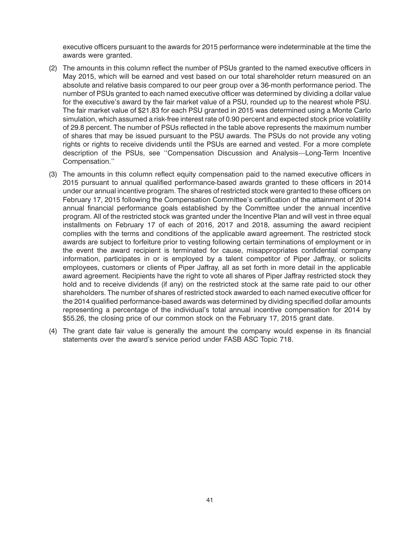executive officers pursuant to the awards for 2015 performance were indeterminable at the time the awards were granted.

- (2) The amounts in this column reflect the number of PSUs granted to the named executive officers in May 2015, which will be earned and vest based on our total shareholder return measured on an absolute and relative basis compared to our peer group over a 36-month performance period. The number of PSUs granted to each named executive officer was determined by dividing a dollar value for the executive's award by the fair market value of a PSU, rounded up to the nearest whole PSU. The fair market value of \$21.83 for each PSU granted in 2015 was determined using a Monte Carlo simulation, which assumed a risk-free interest rate of 0.90 percent and expected stock price volatility of 29.8 percent. The number of PSUs reflected in the table above represents the maximum number of shares that may be issued pursuant to the PSU awards. The PSUs do not provide any voting rights or rights to receive dividends until the PSUs are earned and vested. For a more complete description of the PSUs, see ''Compensation Discussion and Analysis—Long-Term Incentive Compensation.''
- (3) The amounts in this column reflect equity compensation paid to the named executive officers in 2015 pursuant to annual qualified performance-based awards granted to these officers in 2014 under our annual incentive program. The shares of restricted stock were granted to these officers on February 17, 2015 following the Compensation Committee's certification of the attainment of 2014 annual financial performance goals established by the Committee under the annual incentive program. All of the restricted stock was granted under the Incentive Plan and will vest in three equal installments on February 17 of each of 2016, 2017 and 2018, assuming the award recipient complies with the terms and conditions of the applicable award agreement. The restricted stock awards are subject to forfeiture prior to vesting following certain terminations of employment or in the event the award recipient is terminated for cause, misappropriates confidential company information, participates in or is employed by a talent competitor of Piper Jaffray, or solicits employees, customers or clients of Piper Jaffray, all as set forth in more detail in the applicable award agreement. Recipients have the right to vote all shares of Piper Jaffray restricted stock they hold and to receive dividends (if any) on the restricted stock at the same rate paid to our other shareholders. The number of shares of restricted stock awarded to each named executive officer for the 2014 qualified performance-based awards was determined by dividing specified dollar amounts representing a percentage of the individual's total annual incentive compensation for 2014 by \$55.26, the closing price of our common stock on the February 17, 2015 grant date.
- (4) The grant date fair value is generally the amount the company would expense in its financial statements over the award's service period under FASB ASC Topic 718.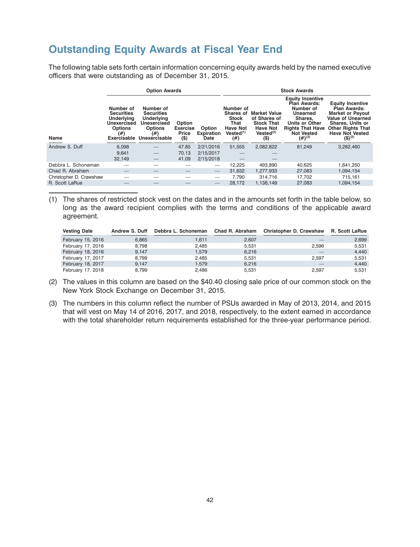#### <span id="page-44-0"></span>**Outstanding Equity Awards at Fiscal Year End**

The following table sets forth certain information concerning equity awards held by the named executive officers that were outstanding as of December 31, 2015.

|                         | <b>Option Awards</b>                                                                                              |                                                                                                              |                                               |                                     | <b>Stock Awards</b>                                                                                      |                                                                                                                 |                                                                                                                                                                       |                                                                                                                                                                                                           |
|-------------------------|-------------------------------------------------------------------------------------------------------------------|--------------------------------------------------------------------------------------------------------------|-----------------------------------------------|-------------------------------------|----------------------------------------------------------------------------------------------------------|-----------------------------------------------------------------------------------------------------------------|-----------------------------------------------------------------------------------------------------------------------------------------------------------------------|-----------------------------------------------------------------------------------------------------------------------------------------------------------------------------------------------------------|
| Name                    | Number of<br><b>Securities</b><br><b>Underlying</b><br><b>Unexercised</b><br><b>Options</b><br>(#)<br>Exercisable | Number of<br><b>Securities</b><br>Underlying<br><b>Unexercised</b><br><b>Options</b><br>(#)<br>Unexercisable | Option<br><b>Exercise</b><br>Price<br>$($ \$) | Option<br><b>Expiration</b><br>Date | Number of<br><b>Shares of</b><br><b>Stock</b><br>That<br><b>Have Not</b><br>Vested <sup>(1)</sup><br>(#) | <b>Market Value</b><br>of Shares of<br><b>Stock That</b><br><b>Have Not</b><br>Vested <sup>(2)</sup><br>$($ \$) | <b>Equity Incentive</b><br>Plan Awards:<br>Number of<br>Unearned<br>Shares.<br><b>Units or Other</b><br><b>Rights That Have</b><br>Not Vested<br>$(4)$ <sup>(3)</sup> | <b>Equity Incentive</b><br><b>Plan Awards:</b><br><b>Market or Payout</b><br><b>Value of Unearned</b><br>Shares, Units or<br><b>Other Rights That</b><br><b>Have Not Vested</b><br>$($ \$) <sup>(2)</sup> |
| Andrew S. Duff          | 6,098                                                                                                             |                                                                                                              | 47.85                                         | 2/21/2016                           | 51,555                                                                                                   | 2,082,822                                                                                                       | 81,249                                                                                                                                                                | 3,282,460                                                                                                                                                                                                 |
|                         | 9,641                                                                                                             |                                                                                                              | 70.13                                         | 2/15/2017                           |                                                                                                          |                                                                                                                 |                                                                                                                                                                       |                                                                                                                                                                                                           |
|                         | 32,149                                                                                                            |                                                                                                              | 41.09                                         | 2/15/2018                           |                                                                                                          |                                                                                                                 |                                                                                                                                                                       |                                                                                                                                                                                                           |
| Debbra L. Schoneman     |                                                                                                                   |                                                                                                              |                                               |                                     | 12,225                                                                                                   | 493,890                                                                                                         | 40,625                                                                                                                                                                | 1,641,250                                                                                                                                                                                                 |
| Chad R. Abraham         |                                                                                                                   |                                                                                                              |                                               |                                     | 31,632                                                                                                   | 1,277,933                                                                                                       | 27,083                                                                                                                                                                | 1,094,154                                                                                                                                                                                                 |
| Christopher D. Crawshaw |                                                                                                                   |                                                                                                              |                                               |                                     | 7.790                                                                                                    | 314.716                                                                                                         | 17,702                                                                                                                                                                | 715,161                                                                                                                                                                                                   |
| R. Scott LaRue          |                                                                                                                   |                                                                                                              |                                               |                                     | 28.172                                                                                                   | 1.138.149                                                                                                       | 27,083                                                                                                                                                                | 1.094.154                                                                                                                                                                                                 |

(1) The shares of restricted stock vest on the dates and in the amounts set forth in the table below, so long as the award recipient complies with the terms and conditions of the applicable award agreement.

| <b>Vesting Date</b> | <b>Andrew S. Duff</b> | Debbra L. Schoneman | Chad R. Abraham | Christopher D. Crawshaw | R. Scott LaRue |
|---------------------|-----------------------|---------------------|-----------------|-------------------------|----------------|
| February 15, 2016   | 6,865                 | 1.611               | 2,607           |                         | 2,699          |
| February 17, 2016   | 8.798                 | 2.485               | 5.531           | 2.596                   | 5.531          |
| February 18, 2016   | 9.147                 | 1.579               | 6,216           |                         | 4,440          |
| February 17, 2017   | 8.799                 | 2.485               | 5.531           | 2.597                   | 5.531          |
| February 18, 2017   | 9.147                 | 1.579               | 6,216           |                         | 4.440          |
| February 17, 2018   | 8.799                 | 2.486               | 5,531           | 2.597                   | 5.531          |

- (2) The values in this column are based on the \$40.40 closing sale price of our common stock on the New York Stock Exchange on December 31, 2015.
- (3) The numbers in this column reflect the number of PSUs awarded in May of 2013, 2014, and 2015 that will vest on May 14 of 2016, 2017, and 2018, respectively, to the extent earned in accordance with the total shareholder return requirements established for the three-year performance period.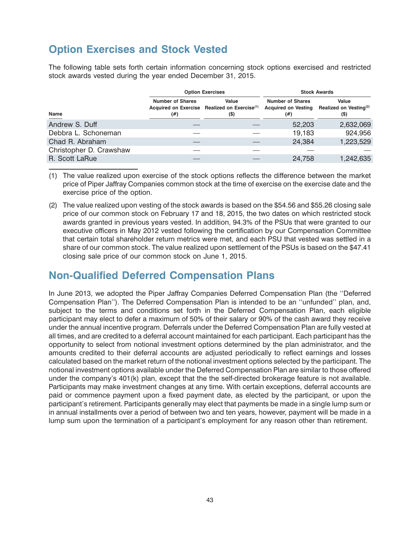#### <span id="page-45-0"></span>**Option Exercises and Stock Vested**

The following table sets forth certain information concerning stock options exercised and restricted stock awards vested during the year ended December 31, 2015.

|                         |                                | <b>Option Exercises</b>                                                     | <b>Stock Awards</b>                 |                                                                           |  |
|-------------------------|--------------------------------|-----------------------------------------------------------------------------|-------------------------------------|---------------------------------------------------------------------------|--|
| Name                    | <b>Number of Shares</b><br>(#) | Value<br>Acquired on Exercise Realized on Exercise <sup>(1)</sup><br>$($ \$ | <b>Number of Shares</b><br>$^{(#)}$ | Value<br>Acquired on Vesting Realized on Vesting <sup>(2)</sup><br>$($ \$ |  |
| Andrew S. Duff          |                                |                                                                             | 52,203                              | 2,632,069                                                                 |  |
| Debbra L. Schoneman     |                                |                                                                             | 19,183                              | 924,956                                                                   |  |
| Chad R. Abraham         |                                |                                                                             | 24,384                              | 1,223,529                                                                 |  |
| Christopher D. Crawshaw |                                |                                                                             |                                     |                                                                           |  |
| R. Scott LaRue          |                                |                                                                             | 24,758                              | 1,242,635                                                                 |  |

(1) The value realized upon exercise of the stock options reflects the difference between the market price of Piper Jaffray Companies common stock at the time of exercise on the exercise date and the exercise price of the option.

(2) The value realized upon vesting of the stock awards is based on the \$54.56 and \$55.26 closing sale price of our common stock on February 17 and 18, 2015, the two dates on which restricted stock awards granted in previous years vested. In addition, 94.3% of the PSUs that were granted to our executive officers in May 2012 vested following the certification by our Compensation Committee that certain total shareholder return metrics were met, and each PSU that vested was settled in a share of our common stock. The value realized upon settlement of the PSUs is based on the \$47.41 closing sale price of our common stock on June 1, 2015.

#### **Non-Qualified Deferred Compensation Plans**

In June 2013, we adopted the Piper Jaffray Companies Deferred Compensation Plan (the ''Deferred Compensation Plan''). The Deferred Compensation Plan is intended to be an ''unfunded'' plan, and, subject to the terms and conditions set forth in the Deferred Compensation Plan, each eligible participant may elect to defer a maximum of 50% of their salary or 90% of the cash award they receive under the annual incentive program. Deferrals under the Deferred Compensation Plan are fully vested at all times, and are credited to a deferral account maintained for each participant. Each participant has the opportunity to select from notional investment options determined by the plan administrator, and the amounts credited to their deferral accounts are adjusted periodically to reflect earnings and losses calculated based on the market return of the notional investment options selected by the participant. The notional investment options available under the Deferred Compensation Plan are similar to those offered under the company's 401(k) plan, except that the the self-directed brokerage feature is not available. Participants may make investment changes at any time. With certain exceptions, deferral accounts are paid or commence payment upon a fixed payment date, as elected by the participant, or upon the participant's retirement. Participants generally may elect that payments be made in a single lump sum or in annual installments over a period of between two and ten years, however, payment will be made in a lump sum upon the termination of a participant's employment for any reason other than retirement.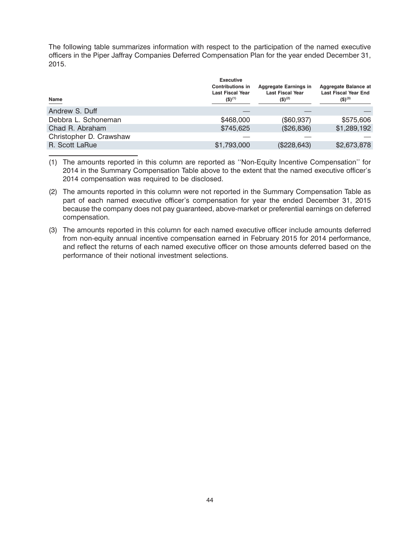The following table summarizes information with respect to the participation of the named executive officers in the Piper Jaffray Companies Deferred Compensation Plan for the year ended December 31, 2015.

| <b>Executive</b><br><b>Contributions in</b><br><b>Last Fiscal Year</b><br>$($ \$) <sup>(1)</sup> | <b>Aggregate Earnings in</b><br><b>Last Fiscal Year</b><br>$($ \$) <sup>(2)</sup> | Aggregate Balance at<br><b>Last Fiscal Year End</b><br>$($ \$) <sup>(3)</sup> |
|--------------------------------------------------------------------------------------------------|-----------------------------------------------------------------------------------|-------------------------------------------------------------------------------|
|                                                                                                  |                                                                                   |                                                                               |
| \$468,000                                                                                        | (\$60,937)                                                                        | \$575,606                                                                     |
| \$745,625                                                                                        | (\$26,836)                                                                        | \$1,289,192                                                                   |
|                                                                                                  |                                                                                   |                                                                               |
| \$1,793,000                                                                                      | (\$228,643)                                                                       | \$2,673,878                                                                   |
|                                                                                                  |                                                                                   |                                                                               |

<sup>(1)</sup> The amounts reported in this column are reported as ''Non-Equity Incentive Compensation'' for 2014 in the Summary Compensation Table above to the extent that the named executive officer's 2014 compensation was required to be disclosed.

- (2) The amounts reported in this column were not reported in the Summary Compensation Table as part of each named executive officer's compensation for year the ended December 31, 2015 because the company does not pay guaranteed, above-market or preferential earnings on deferred compensation.
- (3) The amounts reported in this column for each named executive officer include amounts deferred from non-equity annual incentive compensation earned in February 2015 for 2014 performance, and reflect the returns of each named executive officer on those amounts deferred based on the performance of their notional investment selections.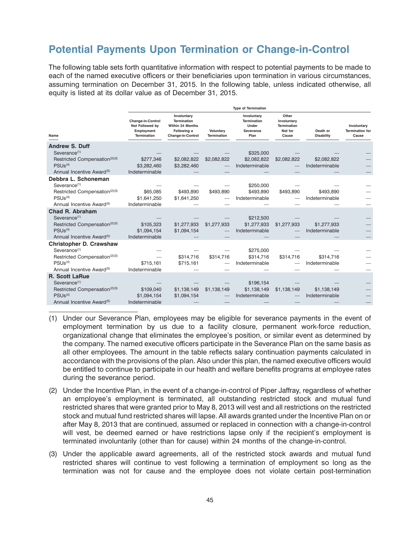#### <span id="page-47-0"></span>**Potential Payments Upon Termination or Change-in-Control**

The following table sets forth quantitative information with respect to potential payments to be made to each of the named executive officers or their beneficiaries upon termination in various circumstances, assuming termination on December 31, 2015. In the following table, unless indicated otherwise, all equity is listed at its dollar value as of December 31, 2015.

|                                                                                                                                                                  |                                                                                 |                                                                                                  |                                 | <b>Type of Termination</b>                                      |                                                         |                               |                                                |
|------------------------------------------------------------------------------------------------------------------------------------------------------------------|---------------------------------------------------------------------------------|--------------------------------------------------------------------------------------------------|---------------------------------|-----------------------------------------------------------------|---------------------------------------------------------|-------------------------------|------------------------------------------------|
| Name                                                                                                                                                             | <b>Change-in-Control</b><br>Not Followed by<br>Employment<br><b>Termination</b> | Involuntary<br><b>Termination</b><br>Within 24 Months<br>Following a<br><b>Change-in-Control</b> | Voluntary<br><b>Termination</b> | Involuntary<br><b>Termination</b><br>Under<br>Severance<br>Plan | Other<br>Involuntary<br>Termination<br>Not for<br>Cause | Death or<br><b>Disability</b> | Involuntary<br><b>Termination for</b><br>Cause |
| <b>Andrew S. Duff</b><br>Severance <sup>(1)</sup><br>Restricted Compensation <sup>(2)(3)</sup><br>PSUS <sup>(4)</sup><br>Annual Incentive Award <sup>(5)</sup>   | \$277,346<br>\$3,282,460<br>Indeterminable                                      | \$2,082,822<br>\$3,282,460                                                                       | \$2,082,822                     | \$325,000<br>\$2,082,822<br>Indeterminable                      | \$2,082,822                                             | \$2,082,822<br>Indeterminable |                                                |
| Debbra L. Schoneman<br>Severance <sup>(1)</sup><br>Restricted Compensation <sup>(2)(3)</sup><br>PSUs <sup>(4)</sup><br>Annual Incentive Award <sup>(5)</sup>     | \$65,085<br>\$1,641,250<br>Indeterminable                                       | \$493.890<br>\$1,641,250                                                                         | \$493,890                       | \$250,000<br>\$493.890<br>Indeterminable                        | \$493,890                                               | \$493.890<br>Indeterminable   |                                                |
| Chad R. Abraham<br>Severance <sup>(1)</sup><br>Restricted Compensation <sup>(2)(3)</sup><br>PSUs <sup>(4)</sup><br>Annual Incentive Award <sup>(5)</sup>         | \$105,323<br>\$1.094.154<br>Indeterminable                                      | \$1,277,933<br>\$1,094,154                                                                       | \$1,277,933                     | \$212,500<br>\$1,277,933<br>Indeterminable                      | \$1,277,933                                             | \$1,277,933<br>Indeterminable |                                                |
| Christopher D. Crawshaw<br>Severance <sup>(1)</sup><br>Restricted Compensation <sup>(2)(3)</sup><br>PSUs <sup>(4)</sup><br>Annual Incentive Award <sup>(5)</sup> | \$715,161<br>Indeterminable                                                     | \$314,716<br>\$715,161                                                                           | \$314,716                       | \$275,000<br>\$314,716<br>Indeterminable                        | \$314,716                                               | \$314,716<br>Indeterminable   |                                                |
| <b>R. Scott LaRue</b><br>Severance <sup>(1)</sup><br>Restricted Compensation <sup>(2)(3)</sup><br>PSUs <sup>(4)</sup><br>Annual Incentive Award <sup>(5)</sup>   | \$109,040<br>\$1,094,154<br>Indeterminable                                      | \$1,138,149<br>\$1,094,154                                                                       | \$1,138,149                     | \$196,154<br>\$1,138,149<br>Indeterminable                      | \$1,138,149                                             | \$1,138,149<br>Indeterminable |                                                |

- (1) Under our Severance Plan, employees may be eligible for severance payments in the event of employment termination by us due to a facility closure, permanent work-force reduction, organizational change that eliminates the employee's position, or similar event as determined by the company. The named executive officers participate in the Severance Plan on the same basis as all other employees. The amount in the table reflects salary continuation payments calculated in accordance with the provisions of the plan. Also under this plan, the named executive officers would be entitled to continue to participate in our health and welfare benefits programs at employee rates during the severance period.
- (2) Under the Incentive Plan, in the event of a change-in-control of Piper Jaffray, regardless of whether an employee's employment is terminated, all outstanding restricted stock and mutual fund restricted shares that were granted prior to May 8, 2013 will vest and all restrictions on the restricted stock and mutual fund restricted shares will lapse. All awards granted under the Incentive Plan on or after May 8, 2013 that are continued, assumed or replaced in connection with a change-in-control will vest, be deemed earned or have restrictions lapse only if the recipient's employment is terminated involuntarily (other than for cause) within 24 months of the change-in-control.
- (3) Under the applicable award agreements, all of the restricted stock awards and mutual fund restricted shares will continue to vest following a termination of employment so long as the termination was not for cause and the employee does not violate certain post-termination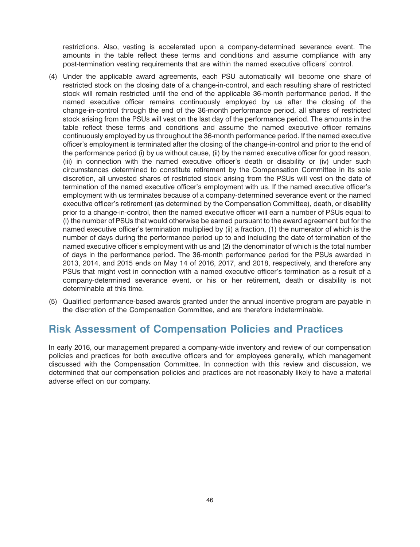<span id="page-48-0"></span>restrictions. Also, vesting is accelerated upon a company-determined severance event. The amounts in the table reflect these terms and conditions and assume compliance with any post-termination vesting requirements that are within the named executive officers' control.

- (4) Under the applicable award agreements, each PSU automatically will become one share of restricted stock on the closing date of a change-in-control, and each resulting share of restricted stock will remain restricted until the end of the applicable 36-month performance period. If the named executive officer remains continuously employed by us after the closing of the change-in-control through the end of the 36-month performance period, all shares of restricted stock arising from the PSUs will vest on the last day of the performance period. The amounts in the table reflect these terms and conditions and assume the named executive officer remains continuously employed by us throughout the 36-month performance period. If the named executive officer's employment is terminated after the closing of the change-in-control and prior to the end of the performance period (i) by us without cause, (ii) by the named executive officer for good reason, (iii) in connection with the named executive officer's death or disability or (iv) under such circumstances determined to constitute retirement by the Compensation Committee in its sole discretion, all unvested shares of restricted stock arising from the PSUs will vest on the date of termination of the named executive officer's employment with us. If the named executive officer's employment with us terminates because of a company-determined severance event or the named executive officer's retirement (as determined by the Compensation Committee), death, or disability prior to a change-in-control, then the named executive officer will earn a number of PSUs equal to (i) the number of PSUs that would otherwise be earned pursuant to the award agreement but for the named executive officer's termination multiplied by (ii) a fraction, (1) the numerator of which is the number of days during the performance period up to and including the date of termination of the named executive officer's employment with us and (2) the denominator of which is the total number of days in the performance period. The 36-month performance period for the PSUs awarded in 2013, 2014, and 2015 ends on May 14 of 2016, 2017, and 2018, respectively, and therefore any PSUs that might vest in connection with a named executive officer's termination as a result of a company-determined severance event, or his or her retirement, death or disability is not determinable at this time.
- (5) Qualified performance-based awards granted under the annual incentive program are payable in the discretion of the Compensation Committee, and are therefore indeterminable.

#### **Risk Assessment of Compensation Policies and Practices**

In early 2016, our management prepared a company-wide inventory and review of our compensation policies and practices for both executive officers and for employees generally, which management discussed with the Compensation Committee. In connection with this review and discussion, we determined that our compensation policies and practices are not reasonably likely to have a material adverse effect on our company.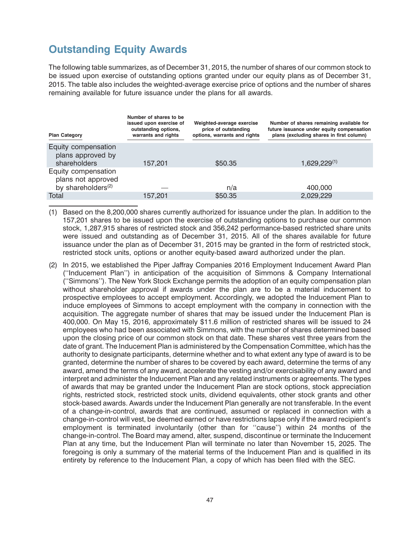### <span id="page-49-0"></span>**Outstanding Equity Awards**

The following table summarizes, as of December 31, 2015, the number of shares of our common stock to be issued upon exercise of outstanding options granted under our equity plans as of December 31, 2015. The table also includes the weighted-average exercise price of options and the number of shares remaining available for future issuance under the plans for all awards.

| <b>Plan Category</b>                                                        | Number of shares to be<br>issued upon exercise of<br>outstanding options,<br>warrants and rights | Weighted-average exercise<br>price of outstanding<br>options, warrants and rights | Number of shares remaining available for<br>future issuance under equity compensation<br>plans (excluding shares in first column) |
|-----------------------------------------------------------------------------|--------------------------------------------------------------------------------------------------|-----------------------------------------------------------------------------------|-----------------------------------------------------------------------------------------------------------------------------------|
| Equity compensation<br>plans approved by<br>shareholders                    | 157,201                                                                                          | \$50.35                                                                           | $1,629,229^{(1)}$                                                                                                                 |
| Equity compensation<br>plans not approved<br>by shareholders <sup>(2)</sup> |                                                                                                  | n/a                                                                               | 400,000                                                                                                                           |
| Total                                                                       | 157.201                                                                                          | \$50.35                                                                           | 2.029.229                                                                                                                         |

- (1) Based on the 8,200,000 shares currently authorized for issuance under the plan. In addition to the 157,201 shares to be issued upon the exercise of outstanding options to purchase our common stock, 1,287,915 shares of restricted stock and 356,242 performance-based restricted share units were issued and outstanding as of December 31, 2015. All of the shares available for future issuance under the plan as of December 31, 2015 may be granted in the form of restricted stock, restricted stock units, options or another equity-based award authorized under the plan.
- (2) In 2015, we established the Piper Jaffray Companies 2016 Employment Inducement Award Plan (''Inducement Plan'') in anticipation of the acquisition of Simmons & Company International (''Simmons''). The New York Stock Exchange permits the adoption of an equity compensation plan without shareholder approval if awards under the plan are to be a material inducement to prospective employees to accept employment. Accordingly, we adopted the Inducement Plan to induce employees of Simmons to accept employment with the company in connection with the acquisition. The aggregate number of shares that may be issued under the Inducement Plan is 400,000. On May 15, 2016, approximately \$11.6 million of restricted shares will be issued to 24 employees who had been associated with Simmons, with the number of shares determined based upon the closing price of our common stock on that date. These shares vest three years from the date of grant. The Inducement Plan is administered by the Compensation Committee, which has the authority to designate participants, determine whether and to what extent any type of award is to be granted, determine the number of shares to be covered by each award, determine the terms of any award, amend the terms of any award, accelerate the vesting and/or exercisability of any award and interpret and administer the Inducement Plan and any related instruments or agreements. The types of awards that may be granted under the Inducement Plan are stock options, stock appreciation rights, restricted stock, restricted stock units, dividend equivalents, other stock grants and other stock-based awards. Awards under the Inducement Plan generally are not transferable. In the event of a change-in-control, awards that are continued, assumed or replaced in connection with a change-in-control will vest, be deemed earned or have restrictions lapse only if the award recipient's employment is terminated involuntarily (other than for ''cause'') within 24 months of the change-in-control. The Board may amend, alter, suspend, discontinue or terminate the Inducement Plan at any time, but the Inducement Plan will terminate no later than November 15, 2025. The foregoing is only a summary of the material terms of the Inducement Plan and is qualified in its entirety by reference to the Inducement Plan, a copy of which has been filed with the SEC.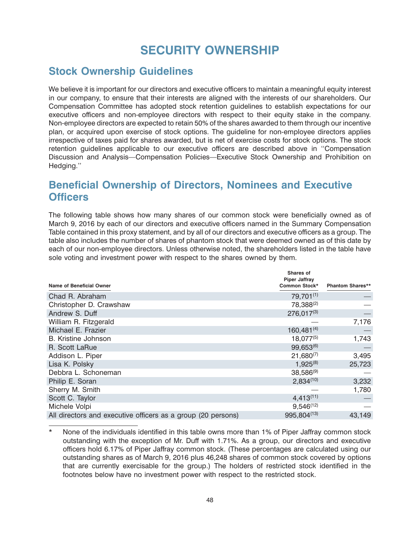# **SECURITY OWNERSHIP**

#### <span id="page-50-0"></span>**Stock Ownership Guidelines**

We believe it is important for our directors and executive officers to maintain a meaningful equity interest in our company, to ensure that their interests are aligned with the interests of our shareholders. Our Compensation Committee has adopted stock retention guidelines to establish expectations for our executive officers and non-employee directors with respect to their equity stake in the company. Non-employee directors are expected to retain 50% of the shares awarded to them through our incentive plan, or acquired upon exercise of stock options. The guideline for non-employee directors applies irrespective of taxes paid for shares awarded, but is net of exercise costs for stock options. The stock retention guidelines applicable to our executive officers are described above in ''Compensation Discussion and Analysis—Compensation Policies—Executive Stock Ownership and Prohibition on Hedging.''

#### **Beneficial Ownership of Directors, Nominees and Executive Officers**

The following table shows how many shares of our common stock were beneficially owned as of March 9, 2016 by each of our directors and executive officers named in the Summary Compensation Table contained in this proxy statement, and by all of our directors and executive officers as a group. The table also includes the number of shares of phantom stock that were deemed owned as of this date by each of our non-employee directors. Unless otherwise noted, the shareholders listed in the table have sole voting and investment power with respect to the shares owned by them.

| Name of Beneficial Owner                                     | Shares of<br><b>Piper Jaffray</b><br>Common Stock* | <b>Phantom Shares**</b> |
|--------------------------------------------------------------|----------------------------------------------------|-------------------------|
| Chad R. Abraham                                              | 79,701(1)                                          |                         |
| Christopher D. Crawshaw                                      | 78,388(2)                                          |                         |
| Andrew S. Duff                                               | $276,017^{(3)}$                                    |                         |
| William R. Fitzgerald                                        |                                                    | 7,176                   |
| Michael E. Frazier                                           | $160,481^{(4)}$                                    |                         |
| B. Kristine Johnson                                          | $18,077^{(5)}$                                     | 1,743                   |
| R. Scott LaRue                                               | $99,653^{(6)}$                                     |                         |
| Addison L. Piper                                             | $21,680^{(7)}$                                     | 3,495                   |
| Lisa K. Polsky                                               | $1,925^{(8)}$                                      | 25,723                  |
| Debbra L. Schoneman                                          | $38,586^{(9)}$                                     |                         |
| Philip E. Soran                                              | $2,834^{(10)}$                                     | 3,232                   |
| Sherry M. Smith                                              |                                                    | 1,780                   |
| Scott C. Taylor                                              | $4,413^{(11)}$                                     |                         |
| Michele Volpi                                                | $9,546^{(12)}$                                     |                         |
| All directors and executive officers as a group (20 persons) | 995,804(13)                                        | 43.149                  |

<sup>\*</sup> None of the individuals identified in this table owns more than 1% of Piper Jaffray common stock outstanding with the exception of Mr. Duff with 1.71%. As a group, our directors and executive officers hold 6.17% of Piper Jaffray common stock. (These percentages are calculated using our outstanding shares as of March 9, 2016 plus 46,248 shares of common stock covered by options that are currently exercisable for the group.) The holders of restricted stock identified in the footnotes below have no investment power with respect to the restricted stock.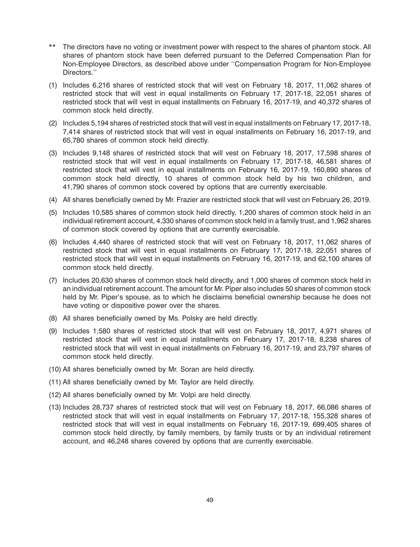- \*\* The directors have no voting or investment power with respect to the shares of phantom stock. All shares of phantom stock have been deferred pursuant to the Deferred Compensation Plan for Non-Employee Directors, as described above under ''Compensation Program for Non-Employee Directors.''
- (1) Includes 6,216 shares of restricted stock that will vest on February 18, 2017, 11,062 shares of restricted stock that will vest in equal installments on February 17, 2017-18, 22,051 shares of restricted stock that will vest in equal installments on February 16, 2017-19, and 40,372 shares of common stock held directly.
- (2) Includes 5,194 shares of restricted stock that will vest in equal installments on February 17, 2017-18, 7,414 shares of restricted stock that will vest in equal installments on February 16, 2017-19, and 65,780 shares of common stock held directly.
- (3) Includes 9,148 shares of restricted stock that will vest on February 18, 2017, 17,598 shares of restricted stock that will vest in equal installments on February 17, 2017-18, 46,581 shares of restricted stock that will vest in equal installments on February 16, 2017-19, 160,890 shares of common stock held directly, 10 shares of common stock held by his two children, and 41,790 shares of common stock covered by options that are currently exercisable.
- (4) All shares beneficially owned by Mr. Frazier are restricted stock that will vest on February 26, 2019.
- (5) Includes 10,585 shares of common stock held directly, 1,200 shares of common stock held in an individual retirement account, 4,330 shares of common stock held in a family trust, and 1,962 shares of common stock covered by options that are currently exercisable.
- (6) Includes 4,440 shares of restricted stock that will vest on February 18, 2017, 11,062 shares of restricted stock that will vest in equal installments on February 17, 2017-18, 22,051 shares of restricted stock that will vest in equal installments on February 16, 2017-19, and 62,100 shares of common stock held directly.
- (7) Includes 20,630 shares of common stock held directly, and 1,000 shares of common stock held in an individual retirement account. The amount for Mr. Piper also includes 50 shares of common stock held by Mr. Piper's spouse, as to which he disclaims beneficial ownership because he does not have voting or dispositive power over the shares.
- (8) All shares beneficially owned by Ms. Polsky are held directly.
- (9) Includes 1,580 shares of restricted stock that will vest on February 18, 2017, 4,971 shares of restricted stock that will vest in equal installments on February 17, 2017-18, 8,238 shares of restricted stock that will vest in equal installments on February 16, 2017-19, and 23,797 shares of common stock held directly.
- (10) All shares beneficially owned by Mr. Soran are held directly.
- (11) All shares beneficially owned by Mr. Taylor are held directly.
- (12) All shares beneficially owned by Mr. Volpi are held directly.
- (13) Includes 28,737 shares of restricted stock that will vest on February 18, 2017, 66,086 shares of restricted stock that will vest in equal installments on February 17, 2017-18, 155,328 shares of restricted stock that will vest in equal installments on February 16, 2017-19, 699,405 shares of common stock held directly, by family members, by family trusts or by an individual retirement account, and 46,248 shares covered by options that are currently exercisable.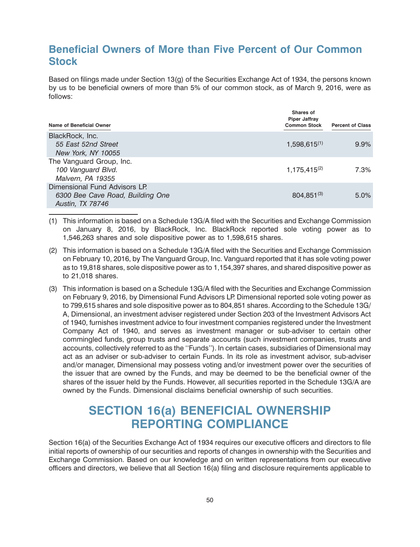#### <span id="page-52-0"></span>**Beneficial Owners of More than Five Percent of Our Common Stock**

Based on filings made under Section 13(g) of the Securities Exchange Act of 1934, the persons known by us to be beneficial owners of more than 5% of our common stock, as of March 9, 2016, were as follows:

| Name of Beneficial Owner                                                              | Shares of<br><b>Piper Jaffray</b><br><b>Common Stock</b> | <b>Percent of Class</b> |
|---------------------------------------------------------------------------------------|----------------------------------------------------------|-------------------------|
| BlackRock, Inc.<br>55 East 52nd Street<br>New York, NY 10055                          | $1,598,615^{(1)}$                                        | 9.9%                    |
| The Vanguard Group, Inc.<br>100 Vanguard Blvd.<br>Malvern, PA 19355                   | $1,175,415^{(2)}$                                        | 7.3%                    |
| Dimensional Fund Advisors LP.<br>6300 Bee Cave Road, Building One<br>Austin, TX 78746 | $804,851^{(3)}$                                          | $5.0\%$                 |

(1) This information is based on a Schedule 13G/A filed with the Securities and Exchange Commission on January 8, 2016, by BlackRock, Inc. BlackRock reported sole voting power as to 1,546,263 shares and sole dispositive power as to 1,598,615 shares.

- (2) This information is based on a Schedule 13G/A filed with the Securities and Exchange Commission on February 10, 2016, by The Vanguard Group, Inc. Vanguard reported that it has sole voting power as to 19,818 shares, sole dispositive power as to 1,154,397 shares, and shared dispositive power as to 21,018 shares.
- (3) This information is based on a Schedule 13G/A filed with the Securities and Exchange Commission on February 9, 2016, by Dimensional Fund Advisors LP. Dimensional reported sole voting power as to 799,615 shares and sole dispositive power as to 804,851 shares. According to the Schedule 13G/ A, Dimensional, an investment adviser registered under Section 203 of the Investment Advisors Act of 1940, furnishes investment advice to four investment companies registered under the Investment Company Act of 1940, and serves as investment manager or sub-adviser to certain other commingled funds, group trusts and separate accounts (such investment companies, trusts and accounts, collectively referred to as the ''Funds''). In certain cases, subsidiaries of Dimensional may act as an adviser or sub-adviser to certain Funds. In its role as investment advisor, sub-adviser and/or manager, Dimensional may possess voting and/or investment power over the securities of the issuer that are owned by the Funds, and may be deemed to be the beneficial owner of the shares of the issuer held by the Funds. However, all securities reported in the Schedule 13G/A are owned by the Funds. Dimensional disclaims beneficial ownership of such securities.

### **SECTION 16(a) BENEFICIAL OWNERSHIP REPORTING COMPLIANCE**

Section 16(a) of the Securities Exchange Act of 1934 requires our executive officers and directors to file initial reports of ownership of our securities and reports of changes in ownership with the Securities and Exchange Commission. Based on our knowledge and on written representations from our executive officers and directors, we believe that all Section 16(a) filing and disclosure requirements applicable to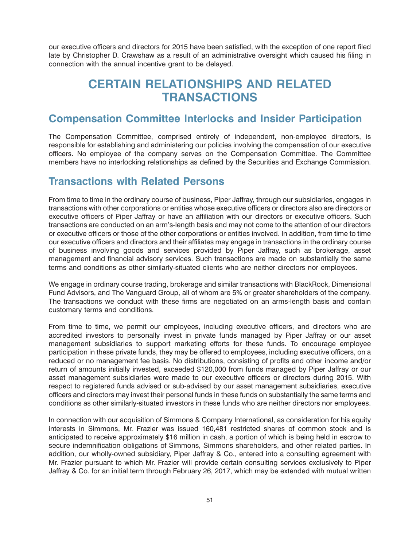<span id="page-53-0"></span>our executive officers and directors for 2015 have been satisfied, with the exception of one report filed late by Christopher D. Crawshaw as a result of an administrative oversight which caused his filing in connection with the annual incentive grant to be delayed.

### **CERTAIN RELATIONSHIPS AND RELATED TRANSACTIONS**

#### **Compensation Committee Interlocks and Insider Participation**

The Compensation Committee, comprised entirely of independent, non-employee directors, is responsible for establishing and administering our policies involving the compensation of our executive officers. No employee of the company serves on the Compensation Committee. The Committee members have no interlocking relationships as defined by the Securities and Exchange Commission.

#### **Transactions with Related Persons**

From time to time in the ordinary course of business, Piper Jaffray, through our subsidiaries, engages in transactions with other corporations or entities whose executive officers or directors also are directors or executive officers of Piper Jaffray or have an affiliation with our directors or executive officers. Such transactions are conducted on an arm's-length basis and may not come to the attention of our directors or executive officers or those of the other corporations or entities involved. In addition, from time to time our executive officers and directors and their affiliates may engage in transactions in the ordinary course of business involving goods and services provided by Piper Jaffray, such as brokerage, asset management and financial advisory services. Such transactions are made on substantially the same terms and conditions as other similarly-situated clients who are neither directors nor employees.

We engage in ordinary course trading, brokerage and similar transactions with BlackRock, Dimensional Fund Advisors, and The Vanguard Group, all of whom are 5% or greater shareholders of the company. The transactions we conduct with these firms are negotiated on an arms-length basis and contain customary terms and conditions.

From time to time, we permit our employees, including executive officers, and directors who are accredited investors to personally invest in private funds managed by Piper Jaffray or our asset management subsidiaries to support marketing efforts for these funds. To encourage employee participation in these private funds, they may be offered to employees, including executive officers, on a reduced or no management fee basis. No distributions, consisting of profits and other income and/or return of amounts initially invested, exceeded \$120,000 from funds managed by Piper Jaffray or our asset management subsidiaries were made to our executive officers or directors during 2015. With respect to registered funds advised or sub-advised by our asset management subsidiaries, executive officers and directors may invest their personal funds in these funds on substantially the same terms and conditions as other similarly-situated investors in these funds who are neither directors nor employees.

In connection with our acquisition of Simmons & Company International, as consideration for his equity interests in Simmons, Mr. Frazier was issued 160,481 restricted shares of common stock and is anticipated to receive approximately \$16 million in cash, a portion of which is being held in escrow to secure indemnification obligations of Simmons, Simmons shareholders, and other related parties. In addition, our wholly-owned subsidiary, Piper Jaffray & Co., entered into a consulting agreement with Mr. Frazier pursuant to which Mr. Frazier will provide certain consulting services exclusively to Piper Jaffray & Co. for an initial term through February 26, 2017, which may be extended with mutual written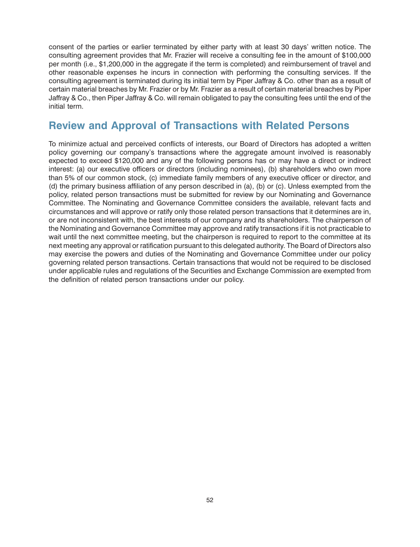<span id="page-54-0"></span>consent of the parties or earlier terminated by either party with at least 30 days' written notice. The consulting agreement provides that Mr. Frazier will receive a consulting fee in the amount of \$100,000 per month (i.e., \$1,200,000 in the aggregate if the term is completed) and reimbursement of travel and other reasonable expenses he incurs in connection with performing the consulting services. If the consulting agreement is terminated during its initial term by Piper Jaffray & Co. other than as a result of certain material breaches by Mr. Frazier or by Mr. Frazier as a result of certain material breaches by Piper Jaffray & Co., then Piper Jaffray & Co. will remain obligated to pay the consulting fees until the end of the initial term.

#### **Review and Approval of Transactions with Related Persons**

To minimize actual and perceived conflicts of interests, our Board of Directors has adopted a written policy governing our company's transactions where the aggregate amount involved is reasonably expected to exceed \$120,000 and any of the following persons has or may have a direct or indirect interest: (a) our executive officers or directors (including nominees), (b) shareholders who own more than 5% of our common stock, (c) immediate family members of any executive officer or director, and (d) the primary business affiliation of any person described in (a), (b) or (c). Unless exempted from the policy, related person transactions must be submitted for review by our Nominating and Governance Committee. The Nominating and Governance Committee considers the available, relevant facts and circumstances and will approve or ratify only those related person transactions that it determines are in, or are not inconsistent with, the best interests of our company and its shareholders. The chairperson of the Nominating and Governance Committee may approve and ratify transactions if it is not practicable to wait until the next committee meeting, but the chairperson is required to report to the committee at its next meeting any approval or ratification pursuant to this delegated authority. The Board of Directors also may exercise the powers and duties of the Nominating and Governance Committee under our policy governing related person transactions. Certain transactions that would not be required to be disclosed under applicable rules and regulations of the Securities and Exchange Commission are exempted from the definition of related person transactions under our policy.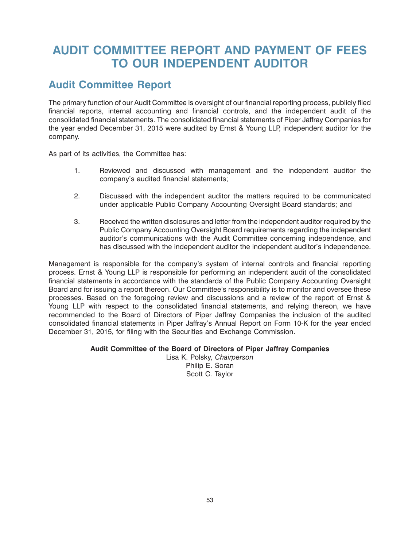# <span id="page-55-0"></span>**AUDIT COMMITTEE REPORT AND PAYMENT OF FEES TO OUR INDEPENDENT AUDITOR**

#### **Audit Committee Report**

The primary function of our Audit Committee is oversight of our financial reporting process, publicly filed financial reports, internal accounting and financial controls, and the independent audit of the consolidated financial statements. The consolidated financial statements of Piper Jaffray Companies for the year ended December 31, 2015 were audited by Ernst & Young LLP, independent auditor for the company.

As part of its activities, the Committee has:

- 1. Reviewed and discussed with management and the independent auditor the company's audited financial statements;
- 2. Discussed with the independent auditor the matters required to be communicated under applicable Public Company Accounting Oversight Board standards; and
- 3. Received the written disclosures and letter from the independent auditor required by the Public Company Accounting Oversight Board requirements regarding the independent auditor's communications with the Audit Committee concerning independence, and has discussed with the independent auditor the independent auditor's independence.

Management is responsible for the company's system of internal controls and financial reporting process. Ernst & Young LLP is responsible for performing an independent audit of the consolidated financial statements in accordance with the standards of the Public Company Accounting Oversight Board and for issuing a report thereon. Our Committee's responsibility is to monitor and oversee these processes. Based on the foregoing review and discussions and a review of the report of Ernst & Young LLP with respect to the consolidated financial statements, and relying thereon, we have recommended to the Board of Directors of Piper Jaffray Companies the inclusion of the audited consolidated financial statements in Piper Jaffray's Annual Report on Form 10-K for the year ended December 31, 2015, for filing with the Securities and Exchange Commission.

#### **Audit Committee of the Board of Directors of Piper Jaffray Companies**

Lisa K. Polsky, *Chairperson* Philip E. Soran Scott C. Taylor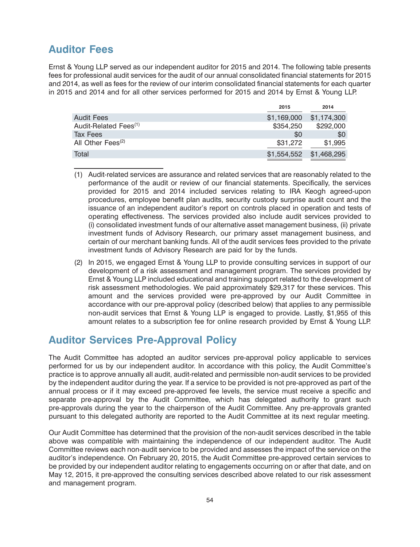#### <span id="page-56-0"></span>**Auditor Fees**

Ernst & Young LLP served as our independent auditor for 2015 and 2014. The following table presents fees for professional audit services for the audit of our annual consolidated financial statements for 2015 and 2014, as well as fees for the review of our interim consolidated financial statements for each quarter in 2015 and 2014 and for all other services performed for 2015 and 2014 by Ernst & Young LLP.

|                                   | 2015        | 2014        |
|-----------------------------------|-------------|-------------|
| Audit Fees                        | \$1,169,000 | \$1.174.300 |
| Audit-Related Fees <sup>(1)</sup> | \$354,250   | \$292,000   |
| Tax Fees                          | \$0         | \$0         |
| All Other Fees <sup>(2)</sup>     | \$31,272    | \$1,995     |
| Total                             | \$1,554,552 | \$1,468,295 |

- (1) Audit-related services are assurance and related services that are reasonably related to the performance of the audit or review of our financial statements. Specifically, the services provided for 2015 and 2014 included services relating to IRA Keogh agreed-upon procedures, employee benefit plan audits, security custody surprise audit count and the issuance of an independent auditor's report on controls placed in operation and tests of operating effectiveness. The services provided also include audit services provided to (i) consolidated investment funds of our alternative asset management business, (ii) private investment funds of Advisory Research, our primary asset management business, and certain of our merchant banking funds. All of the audit services fees provided to the private investment funds of Advisory Research are paid for by the funds.
- (2) In 2015, we engaged Ernst & Young LLP to provide consulting services in support of our development of a risk assessment and management program. The services provided by Ernst & Young LLP included educational and training support related to the development of risk assessment methodologies. We paid approximately \$29,317 for these services. This amount and the services provided were pre-approved by our Audit Committee in accordance with our pre-approval policy (described below) that applies to any permissible non-audit services that Ernst & Young LLP is engaged to provide. Lastly, \$1,955 of this amount relates to a subscription fee for online research provided by Ernst & Young LLP.

#### **Auditor Services Pre-Approval Policy**

The Audit Committee has adopted an auditor services pre-approval policy applicable to services performed for us by our independent auditor. In accordance with this policy, the Audit Committee's practice is to approve annually all audit, audit-related and permissible non-audit services to be provided by the independent auditor during the year. If a service to be provided is not pre-approved as part of the annual process or if it may exceed pre-approved fee levels, the service must receive a specific and separate pre-approval by the Audit Committee, which has delegated authority to grant such pre-approvals during the year to the chairperson of the Audit Committee. Any pre-approvals granted pursuant to this delegated authority are reported to the Audit Committee at its next regular meeting.

Our Audit Committee has determined that the provision of the non-audit services described in the table above was compatible with maintaining the independence of our independent auditor. The Audit Committee reviews each non-audit service to be provided and assesses the impact of the service on the auditor's independence. On February 20, 2015, the Audit Committee pre-approved certain services to be provided by our independent auditor relating to engagements occurring on or after that date, and on May 12, 2015, it pre-approved the consulting services described above related to our risk assessment and management program.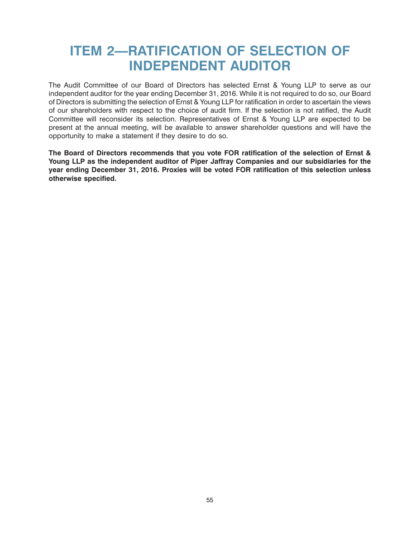# <span id="page-57-0"></span>**ITEM 2—RATIFICATION OF SELECTION OF INDEPENDENT AUDITOR**

The Audit Committee of our Board of Directors has selected Ernst & Young LLP to serve as our independent auditor for the year ending December 31, 2016. While it is not required to do so, our Board of Directors is submitting the selection of Ernst & Young LLP for ratification in order to ascertain the views of our shareholders with respect to the choice of audit firm. If the selection is not ratified, the Audit Committee will reconsider its selection. Representatives of Ernst & Young LLP are expected to be present at the annual meeting, will be available to answer shareholder questions and will have the opportunity to make a statement if they desire to do so.

**The Board of Directors recommends that you vote FOR ratification of the selection of Ernst & Young LLP as the independent auditor of Piper Jaffray Companies and our subsidiaries for the year ending December 31, 2016. Proxies will be voted FOR ratification of this selection unless otherwise specified.**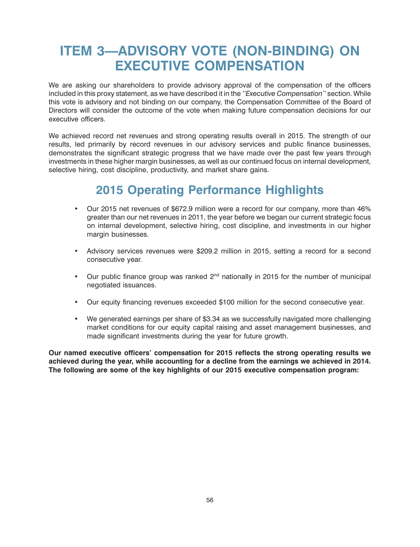# <span id="page-58-0"></span>**ITEM 3—ADVISORY VOTE (NON-BINDING) ON EXECUTIVE COMPENSATION**

We are asking our shareholders to provide advisory approval of the compensation of the officers included in this proxy statement, as we have described it in the *''Executive Compensation''* section. While this vote is advisory and not binding on our company, the Compensation Committee of the Board of Directors will consider the outcome of the vote when making future compensation decisions for our executive officers.

We achieved record net revenues and strong operating results overall in 2015. The strength of our results, led primarily by record revenues in our advisory services and public finance businesses, demonstrates the significant strategic progress that we have made over the past few years through investments in these higher margin businesses, as well as our continued focus on internal development, selective hiring, cost discipline, productivity, and market share gains.

# **2015 Operating Performance Highlights**

- Our 2015 net revenues of \$672.9 million were a record for our company, more than 46% greater than our net revenues in 2011, the year before we began our current strategic focus on internal development, selective hiring, cost discipline, and investments in our higher margin businesses.
- Advisory services revenues were \$209.2 million in 2015, setting a record for a second consecutive year.
- Our public finance group was ranked  $2<sup>nd</sup>$  nationally in 2015 for the number of municipal negotiated issuances.
- Our equity financing revenues exceeded \$100 million for the second consecutive year.
- We generated earnings per share of \$3.34 as we successfully navigated more challenging market conditions for our equity capital raising and asset management businesses, and made significant investments during the year for future growth.

**Our named executive officers' compensation for 2015 reflects the strong operating results we achieved during the year, while accounting for a decline from the earnings we achieved in 2014. The following are some of the key highlights of our 2015 executive compensation program:**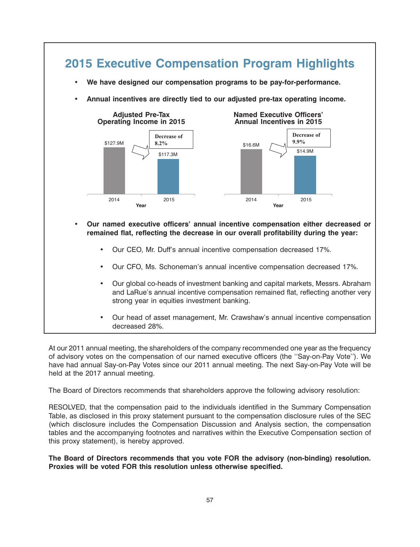

At our 2011 annual meeting, the shareholders of the company recommended one year as the frequency of advisory votes on the compensation of our named executive officers (the ''Say-on-Pay Vote''). We have had annual Say-on-Pay Votes since our 2011 annual meeting. The next Say-on-Pay Vote will be held at the 2017 annual meeting.

The Board of Directors recommends that shareholders approve the following advisory resolution:

RESOLVED, that the compensation paid to the individuals identified in the Summary Compensation Table, as disclosed in this proxy statement pursuant to the compensation disclosure rules of the SEC (which disclosure includes the Compensation Discussion and Analysis section, the compensation tables and the accompanying footnotes and narratives within the Executive Compensation section of this proxy statement), is hereby approved.

**The Board of Directors recommends that you vote FOR the advisory (non-binding) resolution. Proxies will be voted FOR this resolution unless otherwise specified.**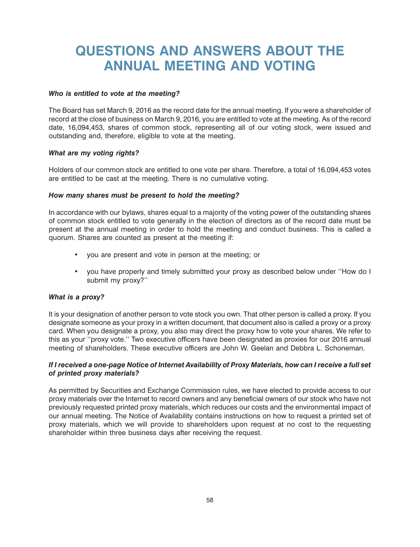# <span id="page-60-0"></span>**QUESTIONS AND ANSWERS ABOUT THE ANNUAL MEETING AND VOTING**

#### *Who is entitled to vote at the meeting?*

The Board has set March 9, 2016 as the record date for the annual meeting. If you were a shareholder of record at the close of business on March 9, 2016, you are entitled to vote at the meeting. As of the record date, 16,094,453, shares of common stock, representing all of our voting stock, were issued and outstanding and, therefore, eligible to vote at the meeting.

#### *What are my voting rights?*

Holders of our common stock are entitled to one vote per share. Therefore, a total of 16,094,453 votes are entitled to be cast at the meeting. There is no cumulative voting.

#### *How many shares must be present to hold the meeting?*

In accordance with our bylaws, shares equal to a majority of the voting power of the outstanding shares of common stock entitled to vote generally in the election of directors as of the record date must be present at the annual meeting in order to hold the meeting and conduct business. This is called a quorum. Shares are counted as present at the meeting if:

- you are present and vote in person at the meeting; or
- you have properly and timely submitted your proxy as described below under ''How do I submit my proxy?''

#### *What is a proxy?*

It is your designation of another person to vote stock you own. That other person is called a proxy. If you designate someone as your proxy in a written document, that document also is called a proxy or a proxy card. When you designate a proxy, you also may direct the proxy how to vote your shares. We refer to this as your ''proxy vote.'' Two executive officers have been designated as proxies for our 2016 annual meeting of shareholders. These executive officers are John W. Geelan and Debbra L. Schoneman.

#### *If I received a one-page Notice of Internet Availability of Proxy Materials, how can I receive a full set of printed proxy materials?*

As permitted by Securities and Exchange Commission rules, we have elected to provide access to our proxy materials over the Internet to record owners and any beneficial owners of our stock who have not previously requested printed proxy materials, which reduces our costs and the environmental impact of our annual meeting. The Notice of Availability contains instructions on how to request a printed set of proxy materials, which we will provide to shareholders upon request at no cost to the requesting shareholder within three business days after receiving the request.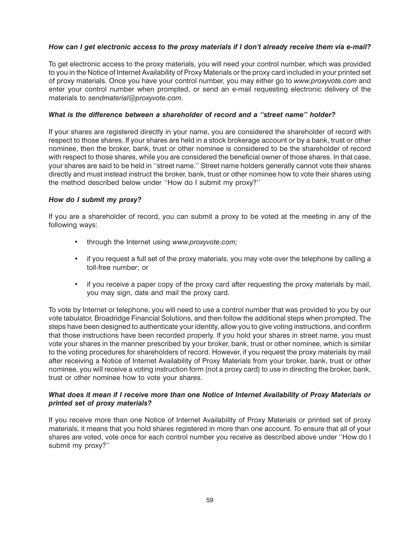#### *How can I get electronic access to the proxy materials if I don't already receive them via e-mail?*

To get electronic access to the proxy materials, you will need your control number, which was provided to you in the Notice of Internet Availability of Proxy Materials or the proxy card included in your printed set of proxy materials. Once you have your control number, you may either go to *www.proxyvote.com* and enter your control number when prompted, or send an e-mail requesting electronic delivery of the materials to *sendmaterial@proxyvote.com*.

#### *What is the difference between a shareholder of record and a ''street name'' holder?*

If your shares are registered directly in your name, you are considered the shareholder of record with respect to those shares. If your shares are held in a stock brokerage account or by a bank, trust or other nominee, then the broker, bank, trust or other nominee is considered to be the shareholder of record with respect to those shares, while you are considered the beneficial owner of those shares. In that case, your shares are said to be held in ''street name.'' Street name holders generally cannot vote their shares directly and must instead instruct the broker, bank, trust or other nominee how to vote their shares using the method described below under ''How do I submit my proxy?''

#### *How do I submit my proxy?*

If you are a shareholder of record, you can submit a proxy to be voted at the meeting in any of the following ways:

- through the Internet using *www.proxyvote.com;*
- if you request a full set of the proxy materials, you may vote over the telephone by calling a toll-free number; or
- if you receive a paper copy of the proxy card after requesting the proxy materials by mail, you may sign, date and mail the proxy card.

To vote by Internet or telephone, you will need to use a control number that was provided to you by our vote tabulator, Broadridge Financial Solutions, and then follow the additional steps when prompted. The steps have been designed to authenticate your identity, allow you to give voting instructions, and confirm that those instructions have been recorded properly. If you hold your shares in street name, you must vote your shares in the manner prescribed by your broker, bank, trust or other nominee, which is similar to the voting procedures for shareholders of record. However, if you request the proxy materials by mail after receiving a Notice of Internet Availability of Proxy Materials from your broker, bank, trust or other nominee, you will receive a voting instruction form (not a proxy card) to use in directing the broker, bank, trust or other nominee how to vote your shares.

#### *What does it mean if I receive more than one Notice of Internet Availability of Proxy Materials or printed set of proxy materials?*

If you receive more than one Notice of Internet Availability of Proxy Materials or printed set of proxy materials, it means that you hold shares registered in more than one account. To ensure that all of your shares are voted, vote once for each control number you receive as described above under ''How do I submit my proxy?''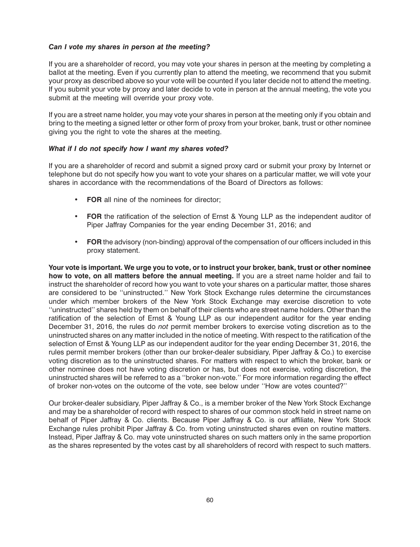#### *Can I vote my shares in person at the meeting?*

If you are a shareholder of record, you may vote your shares in person at the meeting by completing a ballot at the meeting. Even if you currently plan to attend the meeting, we recommend that you submit your proxy as described above so your vote will be counted if you later decide not to attend the meeting. If you submit your vote by proxy and later decide to vote in person at the annual meeting, the vote you submit at the meeting will override your proxy vote.

If you are a street name holder, you may vote your shares in person at the meeting only if you obtain and bring to the meeting a signed letter or other form of proxy from your broker, bank, trust or other nominee giving you the right to vote the shares at the meeting.

#### *What if I do not specify how I want my shares voted?*

If you are a shareholder of record and submit a signed proxy card or submit your proxy by Internet or telephone but do not specify how you want to vote your shares on a particular matter, we will vote your shares in accordance with the recommendations of the Board of Directors as follows:

- **FOR** all nine of the nominees for director;
- **FOR** the ratification of the selection of Ernst & Young LLP as the independent auditor of Piper Jaffray Companies for the year ending December 31, 2016; and
- **FOR** the advisory (non-binding) approval of the compensation of our officers included in this proxy statement.

**Your vote is important. We urge you to vote, or to instruct your broker, bank, trust or other nominee how to vote, on all matters before the annual meeting.** If you are a street name holder and fail to instruct the shareholder of record how you want to vote your shares on a particular matter, those shares are considered to be ''uninstructed.'' New York Stock Exchange rules determine the circumstances under which member brokers of the New York Stock Exchange may exercise discretion to vote ''uninstructed'' shares held by them on behalf of their clients who are street name holders. Other than the ratification of the selection of Ernst & Young LLP as our independent auditor for the year ending December 31, 2016, the rules do *not* permit member brokers to exercise voting discretion as to the uninstructed shares on any matter included in the notice of meeting. With respect to the ratification of the selection of Ernst & Young LLP as our independent auditor for the year ending December 31, 2016, the rules permit member brokers (other than our broker-dealer subsidiary, Piper Jaffray & Co.) to exercise voting discretion as to the uninstructed shares. For matters with respect to which the broker, bank or other nominee does not have voting discretion or has, but does not exercise, voting discretion, the uninstructed shares will be referred to as a ''broker non-vote.'' For more information regarding the effect of broker non-votes on the outcome of the vote, see below under ''How are votes counted?''

Our broker-dealer subsidiary, Piper Jaffray & Co., is a member broker of the New York Stock Exchange and may be a shareholder of record with respect to shares of our common stock held in street name on behalf of Piper Jaffray & Co. clients. Because Piper Jaffray & Co. is our affiliate, New York Stock Exchange rules prohibit Piper Jaffray & Co. from voting uninstructed shares even on routine matters. Instead, Piper Jaffray & Co. may vote uninstructed shares on such matters only in the same proportion as the shares represented by the votes cast by all shareholders of record with respect to such matters.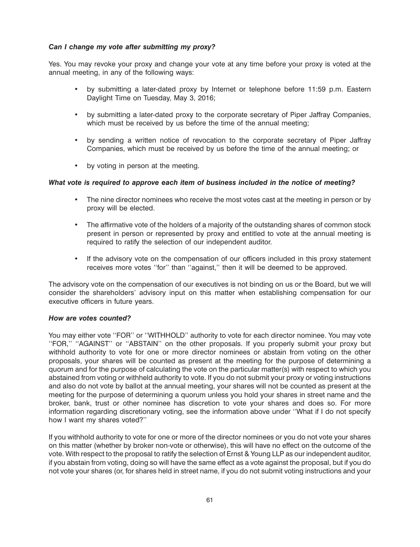#### *Can I change my vote after submitting my proxy?*

Yes. You may revoke your proxy and change your vote at any time before your proxy is voted at the annual meeting, in any of the following ways:

- by submitting a later-dated proxy by Internet or telephone before 11:59 p.m. Eastern Daylight Time on Tuesday, May 3, 2016;
- by submitting a later-dated proxy to the corporate secretary of Piper Jaffray Companies, which must be received by us before the time of the annual meeting;
- by sending a written notice of revocation to the corporate secretary of Piper Jaffray Companies, which must be received by us before the time of the annual meeting; or
- by voting in person at the meeting.

#### *What vote is required to approve each item of business included in the notice of meeting?*

- The nine director nominees who receive the most votes cast at the meeting in person or by proxy will be elected.
- The affirmative vote of the holders of a majority of the outstanding shares of common stock present in person or represented by proxy and entitled to vote at the annual meeting is required to ratify the selection of our independent auditor.
- If the advisory vote on the compensation of our officers included in this proxy statement receives more votes ''for'' than ''against,'' then it will be deemed to be approved.

The advisory vote on the compensation of our executives is not binding on us or the Board, but we will consider the shareholders' advisory input on this matter when establishing compensation for our executive officers in future years.

#### *How are votes counted?*

You may either vote ''FOR'' or ''WITHHOLD'' authority to vote for each director nominee. You may vote "FOR," "AGAINST" or "ABSTAIN" on the other proposals. If you properly submit your proxy but withhold authority to vote for one or more director nominees or abstain from voting on the other proposals, your shares will be counted as present at the meeting for the purpose of determining a quorum and for the purpose of calculating the vote on the particular matter(s) with respect to which you abstained from voting or withheld authority to vote. If you do not submit your proxy or voting instructions and also do not vote by ballot at the annual meeting, your shares will not be counted as present at the meeting for the purpose of determining a quorum unless you hold your shares in street name and the broker, bank, trust or other nominee has discretion to vote your shares and does so. For more information regarding discretionary voting, see the information above under ''What if I do not specify how I want my shares voted?''

If you withhold authority to vote for one or more of the director nominees or you do not vote your shares on this matter (whether by broker non-vote or otherwise), this will have no effect on the outcome of the vote. With respect to the proposal to ratify the selection of Ernst & Young LLP as our independent auditor, if you abstain from voting, doing so will have the same effect as a vote against the proposal, but if you do not vote your shares (or, for shares held in street name, if you do not submit voting instructions and your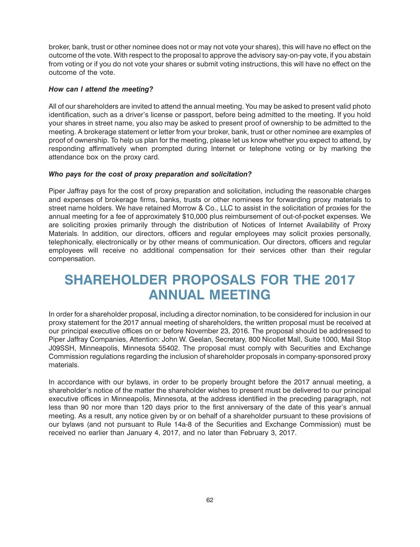<span id="page-64-0"></span>broker, bank, trust or other nominee does not or may not vote your shares), this will have no effect on the outcome of the vote. With respect to the proposal to approve the advisory say-on-pay vote, if you abstain from voting or if you do not vote your shares or submit voting instructions, this will have no effect on the outcome of the vote.

#### *How can I attend the meeting?*

All of our shareholders are invited to attend the annual meeting. You may be asked to present valid photo identification, such as a driver's license or passport, before being admitted to the meeting. If you hold your shares in street name, you also may be asked to present proof of ownership to be admitted to the meeting. A brokerage statement or letter from your broker, bank, trust or other nominee are examples of proof of ownership. To help us plan for the meeting, please let us know whether you expect to attend, by responding affirmatively when prompted during Internet or telephone voting or by marking the attendance box on the proxy card.

#### *Who pays for the cost of proxy preparation and solicitation?*

Piper Jaffray pays for the cost of proxy preparation and solicitation, including the reasonable charges and expenses of brokerage firms, banks, trusts or other nominees for forwarding proxy materials to street name holders. We have retained Morrow & Co., LLC to assist in the solicitation of proxies for the annual meeting for a fee of approximately \$10,000 plus reimbursement of out-of-pocket expenses. We are soliciting proxies primarily through the distribution of Notices of Internet Availability of Proxy Materials. In addition, our directors, officers and regular employees may solicit proxies personally, telephonically, electronically or by other means of communication. Our directors, officers and regular employees will receive no additional compensation for their services other than their regular compensation.

# **SHAREHOLDER PROPOSALS FOR THE 2017 ANNUAL MEETING**

In order for a shareholder proposal, including a director nomination, to be considered for inclusion in our proxy statement for the 2017 annual meeting of shareholders, the written proposal must be received at our principal executive offices on or before November 23, 2016. The proposal should be addressed to Piper Jaffray Companies, Attention: John W. Geelan, Secretary, 800 Nicollet Mall, Suite 1000, Mail Stop J09SSH, Minneapolis, Minnesota 55402. The proposal must comply with Securities and Exchange Commission regulations regarding the inclusion of shareholder proposals in company-sponsored proxy materials.

In accordance with our bylaws, in order to be properly brought before the 2017 annual meeting, a shareholder's notice of the matter the shareholder wishes to present must be delivered to our principal executive offices in Minneapolis, Minnesota, at the address identified in the preceding paragraph, not less than 90 nor more than 120 days prior to the first anniversary of the date of this year's annual meeting. As a result, any notice given by or on behalf of a shareholder pursuant to these provisions of our bylaws (and not pursuant to Rule 14a-8 of the Securities and Exchange Commission) must be received no earlier than January 4, 2017, and no later than February 3, 2017.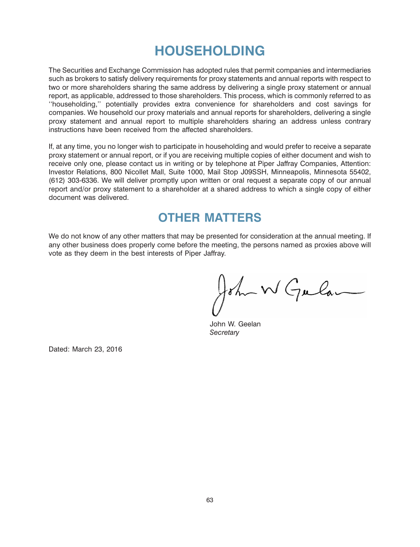# **HOUSEHOLDING**

<span id="page-65-0"></span>The Securities and Exchange Commission has adopted rules that permit companies and intermediaries such as brokers to satisfy delivery requirements for proxy statements and annual reports with respect to two or more shareholders sharing the same address by delivering a single proxy statement or annual report, as applicable, addressed to those shareholders. This process, which is commonly referred to as ''householding,'' potentially provides extra convenience for shareholders and cost savings for companies. We household our proxy materials and annual reports for shareholders, delivering a single proxy statement and annual report to multiple shareholders sharing an address unless contrary instructions have been received from the affected shareholders.

If, at any time, you no longer wish to participate in householding and would prefer to receive a separate proxy statement or annual report, or if you are receiving multiple copies of either document and wish to receive only one, please contact us in writing or by telephone at Piper Jaffray Companies, Attention: Investor Relations, 800 Nicollet Mall, Suite 1000, Mail Stop J09SSH, Minneapolis, Minnesota 55402, (612) 303-6336. We will deliver promptly upon written or oral request a separate copy of our annual report and/or proxy statement to a shareholder at a shared address to which a single copy of either document was delivered.

### **OTHER MATTERS**

We do not know of any other matters that may be presented for consideration at the annual meeting. If any other business does properly come before the meeting, the persons named as proxies above will vote as they deem in the best interests of Piper Jaffray.

John W Gular

John W. Geelan *Secretary*

Dated: March 23, 2016